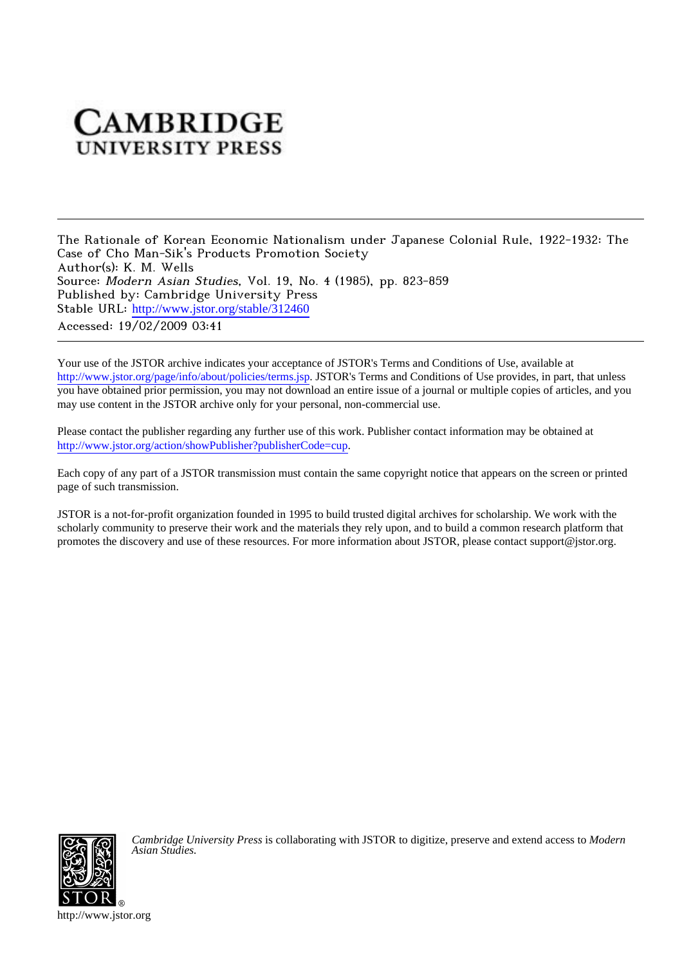# **CAMBRIDGE UNIVERSITY PRESS**

The Rationale of Korean Economic Nationalism under Japanese Colonial Rule, 1922-1932: The Case of Cho Man-Sik's Products Promotion Society Author(s): K. M. Wells Source: Modern Asian Studies, Vol. 19, No. 4 (1985), pp. 823-859 Published by: Cambridge University Press Stable URL: [http://www.jstor.org/stable/312460](http://www.jstor.org/stable/312460?origin=JSTOR-pdf) Accessed: 19/02/2009 03:41

Your use of the JSTOR archive indicates your acceptance of JSTOR's Terms and Conditions of Use, available at <http://www.jstor.org/page/info/about/policies/terms.jsp>. JSTOR's Terms and Conditions of Use provides, in part, that unless you have obtained prior permission, you may not download an entire issue of a journal or multiple copies of articles, and you may use content in the JSTOR archive only for your personal, non-commercial use.

Please contact the publisher regarding any further use of this work. Publisher contact information may be obtained at <http://www.jstor.org/action/showPublisher?publisherCode=cup>.

Each copy of any part of a JSTOR transmission must contain the same copyright notice that appears on the screen or printed page of such transmission.

JSTOR is a not-for-profit organization founded in 1995 to build trusted digital archives for scholarship. We work with the scholarly community to preserve their work and the materials they rely upon, and to build a common research platform that promotes the discovery and use of these resources. For more information about JSTOR, please contact support@jstor.org.



*Cambridge University Press* is collaborating with JSTOR to digitize, preserve and extend access to *Modern Asian Studies.*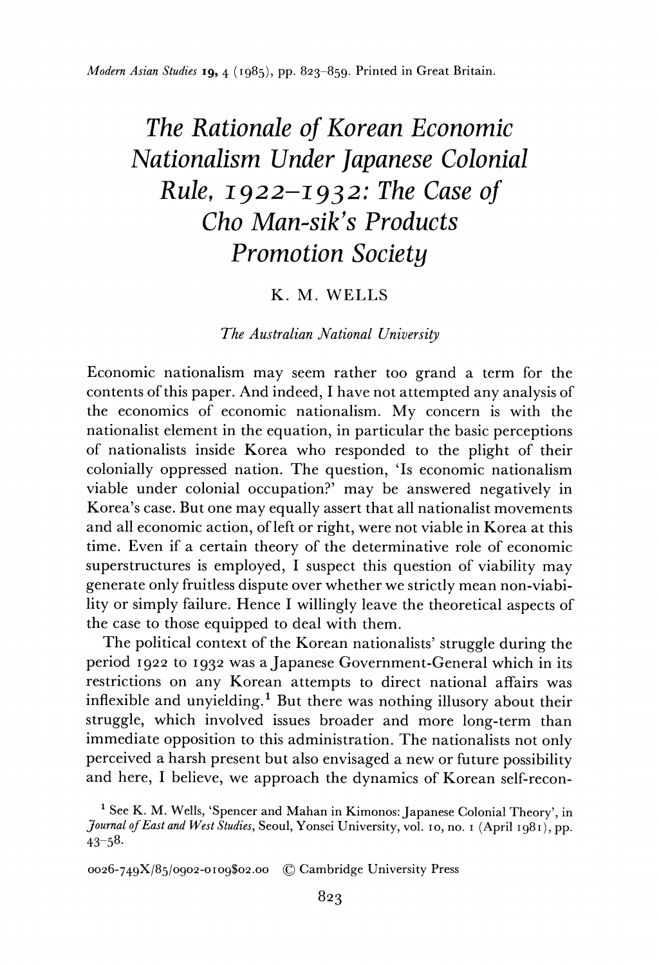## **The Rationale of Korean Economic Nationalism Under Japanese Colonial Rule, 922-1932: The Case of Cho Man-sik's Products Promotion Society**

#### **K. M. WELLS**

#### **The Australian National University**

**Economic nationalism may seem rather too grand a term for the contents of this paper. And indeed, I have not attempted any analysis of the economics of economic nationalism. My concern is with the nationalist element in the equation, in particular the basic perceptions of nationalists inside Korea who responded to the plight of their colonially oppressed nation. The question, 'Is economic nationalism viable under colonial occupation?' may be answered negatively in Korea's case. But one may equally assert that all nationalist movements and all economic action, of left or right, were not viable in Korea at this time. Even if a certain theory of the determinative role of economic superstructures is employed, I suspect this question of viability may generate only fruitless dispute over whether we strictly mean non-viability or simply failure. Hence I willingly leave the theoretical aspects of the case to those equipped to deal with them.** 

**The political context of the Korean nationalists' struggle during the period 1922 to 1932 was aJapanese Government-General which in its restrictions on any Korean attempts to direct national affairs was inflexible and unyielding.1 But there was nothing illusory about their struggle, which involved issues broader and more long-term than immediate opposition to this administration. The nationalists not only perceived a harsh present but also envisaged a new or future possibility and here, I believe, we approach the dynamics of Korean self-recon-**

**<sup>1</sup> See K. M. Wells, 'Spencer and Mahan in Kimonos: Japanese Colonial Theory', in**  Hournal of East and West Studies, Seoul, Yonsei University, vol. 10, no. 1 (April 1981), pp. **43-58.** 

**<sup>0026-749</sup>X/85/0902-OI09\$02.oo ? Cambridge University Press**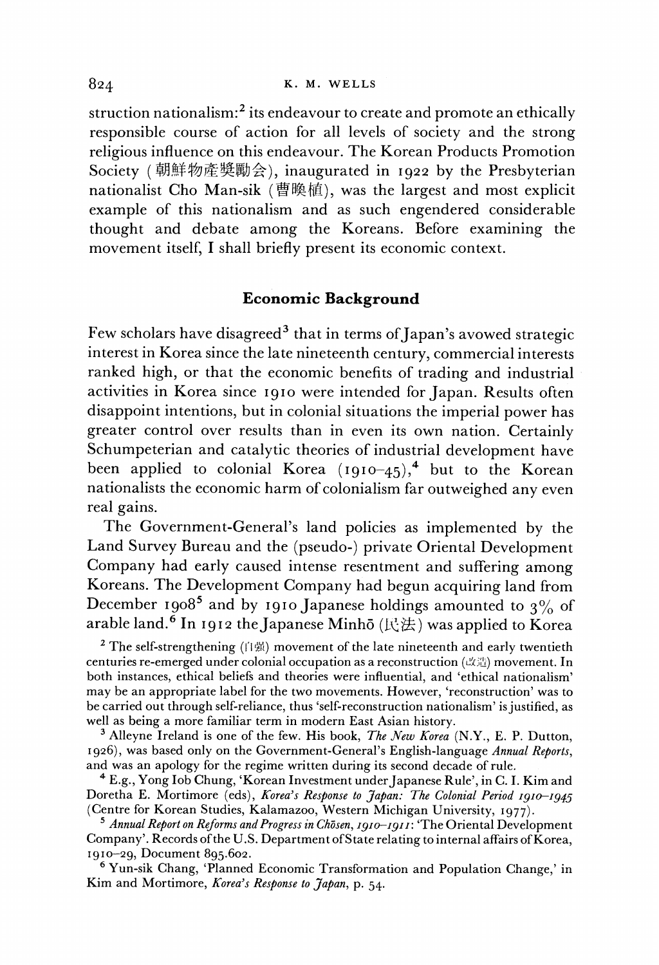**struction nationalism:2 its endeavour to create and promote an ethically responsible course of action for all levels of society and the strong religious influence on this endeavour. The Korean Products Promotion**  Society (朝鮮物產獎勵会), inaugurated in 1922 by the Presbyterian nationalist Cho Man-sik (曹晚植), was the largest and most explicit **example of this nationalism and as such engendered considerable thought and debate among the Koreans. Before examining the movement itself, I shall briefly present its economic context.** 

#### **Economic Background**

Few scholars have disagreed<sup>3</sup> that in terms of Japan's avowed strategic **interest in Korea since the late nineteenth century, commercial interests ranked high, or that the economic benefits of trading and industrial activities in Korea since I9I0 were intended for Japan. Results often disappoint intentions, but in colonial situations the imperial power has greater control over results than in even its own nation. Certainly Schumpeterian and catalytic theories of industrial development have**  been applied to colonial Korea (1910-45),<sup>4</sup> but to the Korean **nationalists the economic harm of colonialism far outweighed any even real gains.** 

**The Government-General's land policies as implemented by the Land Survey Bureau and the (pseudo-) private Oriental Development Company had early caused intense resentment and suffering among Koreans. The Development Company had begun acquiring land from December I9o85 and by I9IO Japanese holdings amounted to 3% of arable land.6 In I912 theJapanese Minh6 (ti&) was applied to Korea** 

<sup>2</sup> The self-strengthening (白强) movement of the late nineteenth and early twentieth **centuries re-emerged under colonial occupation as a reconstruction (ic'3') movement. In both instances, ethical beliefs and theories were influential, and 'ethical nationalism' may be an appropriate label for the two movements. However, 'reconstruction' was to be carried out through self-reliance, thus 'self-reconstruction nationalism' is justified, as** 

<sup>3</sup> Alleyne Ireland is one of the few. His book, The New Korea (N.Y., E. P. Dutton, **I926), was based only on the Government-General's English-language Annual Reports, and was an apology for the regime written during its second decade of rule.** 

**<sup>4</sup>E.g., Yong Iob Chung, 'Korean Investment underJapanese Rule', in C. I. Kim and Doretha E. Mortimore (eds), Korea's Response to Japan: The Colonial Period I9go-i945 (Centre for Korean Studies, Kalamazoo, Western Michigan University, 1977).** 

 $^5$  Annual Report on Reforms and Progress in Chosen, 1910–1911: 'The Oriental Development **Company'. Records of the U.S. Department of State relating to internal affairs of Korea, 1910-29, Document 895.602.** 

**<sup>6</sup>Yun-sik Chang, 'Planned Economic Transformation and Population Change,' in Kim and Mortimore, Korea's Response to Japan, p. 54.**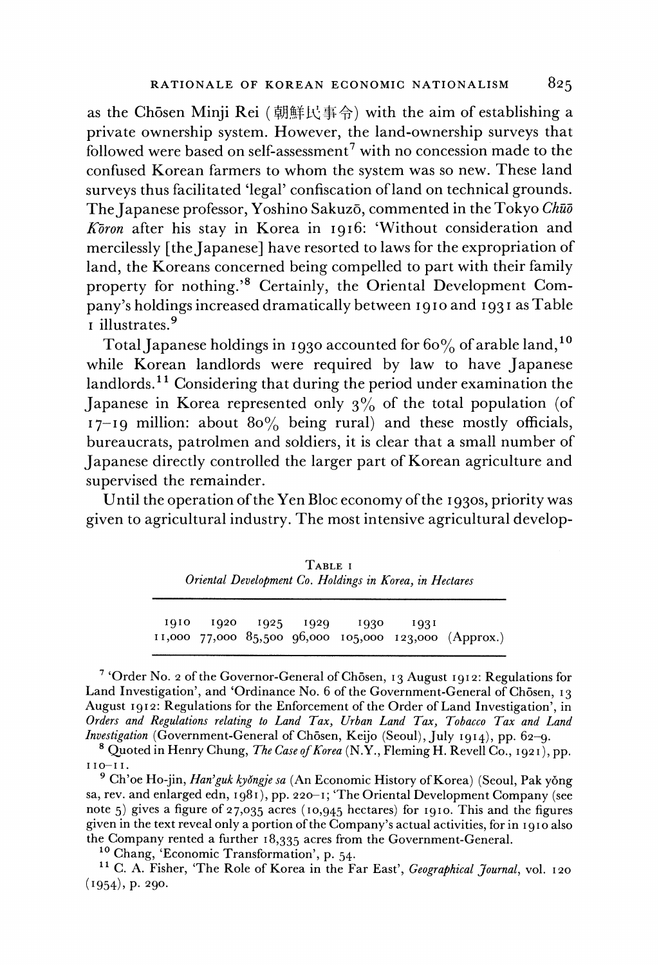as the Chōsen Minji Rei (朝鮮民事令) with the aim of establishing a **private ownership system. However, the land-ownership surveys that followed were based on self-assessment7 with no concession made to the confused Korean farmers to whom the system was so new. These land surveys thus facilitated 'legal' confiscation of land on technical grounds.**  The Japanese professor, Yoshino Sakuzō, commented in the Tokyo Chūō Koron after his stay in Korea in 1916: 'Without consideration and **mercilessly [the Japanese] have resorted to laws for the expropriation of land, the Koreans concerned being compelled to part with their family property for nothing.'8 Certainly, the Oriental Development Company's holdings increased dramatically between 191 o and 1931 as Table I illustrates.9** 

**TotalJapanese holdings in I930 accounted for 60% of arable land,10 while Korean landlords were required by law to have Japanese landlords.11 Considering that during the period under examination the Japanese in Korea represented only 3% of the total population (of I7-I9 million: about 80% being rural) and these mostly officials, bureaucrats, patrolmen and soldiers, it is clear that a small number of Japanese directly controlled the larger part of Korean agriculture and supervised the remainder.** 

**Until the operation of the Yen Bloc economy of the 1930s, priority was given to agricultural industry. The most intensive agricultural develop-**

| TABLE I                                                 |  |  |  |  |  |  |  |  |
|---------------------------------------------------------|--|--|--|--|--|--|--|--|
| Oriental Development Co. Holdings in Korea, in Hectares |  |  |  |  |  |  |  |  |

**190I 1920 1925 I929 I930 I93I I I,oo 77,000 85,500 96,000 I05,000 I23,000 (Approx.)** 

<sup>7</sup> 'Order No. 2 of the Governor-General of Chōsen, 13 August 1912: Regulations for Land Investigation', and 'Ordinance No. 6 of the Government-General of Chosen, 13 **August I912: Regulations for the Enforcement of the Order of Land Investigation', in Orders and Regulations relating to Land Tax, Urban Land Tax, Tobacco Tax and Land**  Investigation (Government-General of Chōsen, Keijo (Seoul), July 1914), pp. 62-9.

<sup>8</sup> Quoted in Henry Chung, *The Case of Korea* (N.Y., Fleming H. Revell Co., 1921), pp. **IIO--II.** 

<sup>9</sup> Ch'oe Ho-jin, *Han'guk kyǒngje sa* (An Economic History of Korea) (Seoul, Pak yǒng **sa, rev. and enlarged edn, 198I), pp. 220-I; 'The Oriental Development Company (see**  note 5) gives a figure of 27,035 acres (10,945 hectares) for 1910. This and the figures **given in the text reveal only a portion of the Company's actual activities, for in 1910 also**  the Company rented a further 18,335 acres from the Government-General.<br><sup>10</sup> Chang, 'Economic Transformation', p. 54.

<sup>11</sup> C. A. Fisher, 'The Role of Korea in the Far East', *Geographical Journal*, vol. 120 **(1954), p. 290.**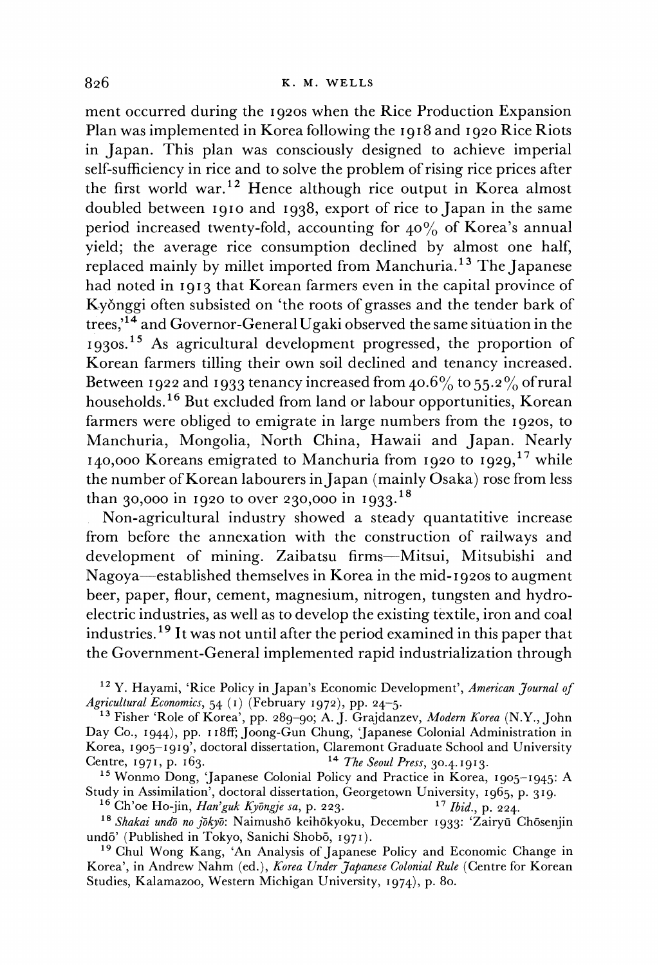**ment occurred during the I920S when the Rice Production Expansion Plan was implemented in Korea following the 19 18 and 1920 Rice Riots in Japan. This plan was consciously designed to achieve imperial self-sufficiency in rice and to solve the problem of rising rice prices after the first world war.12 Hence although rice output in Korea almost doubled between 1910 and 1938, export of rice to Japan in the same period increased twenty-fold, accounting for 40% of Korea's annual yield; the average rice consumption declined by almost one half, replaced mainly by millet imported from Manchuria.13 The Japanese had noted in 1913 that Korean farmers even in the capital province of Kyonggi often subsisted on 'the roots of grasses and the tender bark of trees,'14 and Governor-General Ugaki observed the same situation in the I930s.15 As agricultural development progressed, the proportion of Korean farmers tilling their own soil declined and tenancy increased. Between 1922 and 1933 tenancy increased from 40.6% to 55.2% of rural households.16 But excluded from land or labour opportunities, Korean farmers were obliged to emigrate in large numbers from the I920S, to Manchuria, Mongolia, North China, Hawaii and Japan. Nearly I40,000 Koreans emigrated to Manchuria from 1920 to I929,17 while the number of Korean labourers in Japan (mainly Osaka) rose from less than 30,000 in 1920 to over 230,000 in I933.18** 

**Non-agricultural industry showed a steady quantatitive increase from before the annexation with the construction of railways and development of mining. Zaibatsu firms-Mitsui, Mitsubishi and Nagoya-established themselves in Korea in the mid-I92os to augment beer, paper, flour, cement, magnesium, nitrogen, tungsten and hydroelectric industries, as well as to develop the existing textile, iron and coal industries.19 It was not until after the period examined in this paper that the Government-General implemented rapid industrialization through** 

**<sup>12</sup>Y. Hayami, 'Rice Policy in Japan's Economic Development', American Journal of Agricultural Economics, 54 (I) (February I972), pp. 24-5.** 

**13 Fisher 'Role of Korea', pp. 289-90; A. J. Grajdanzev, Modern Korea (N.Y., John Day Co., I944), pp. I I8ff; Joong-Gun Chung, 'Japanese Colonial Administration in Korea, 1905-I919', doctoral dissertation, Claremont Graduate School and University Centre, 197I, p. I63. 14 The Seoul Press, 30.4. 91I3.** 

**<sup>15</sup>Wonmo Dong, 'Japanese Colonial Policy and Practice in Korea, I905-I945: A**  Study in Assimilation<sup>7</sup>, doctoral dissertation, Georgetown University, 1965, p. 319.<br><sup>16</sup> Ch'oe Ho-jin, *Han'guk Kyōngje sa*, p. 223. <sup>17</sup> Ibid., p. 224.

**<sup>16</sup>Ch'oe Ho-jin, Han'guk Kyongje sa, p. 223. 17 Ibid., p. 224. 18 Shakai undo no jokyo: Naimush6 keihokyoku, December I933: 'Zairyu Ch6senjin und6' (Published in Tokyo, Sanichi Shobo, I97I).** 

**19 Chul Wong Kang, 'An Analysis of Japanese Policy and Economic Change in Korea', in Andrew Nahm (ed.), Korea Under Japanese Colonial Rule (Centre for Korean Studies, Kalamazoo, Western Michigan University, 1974), p. 8o.**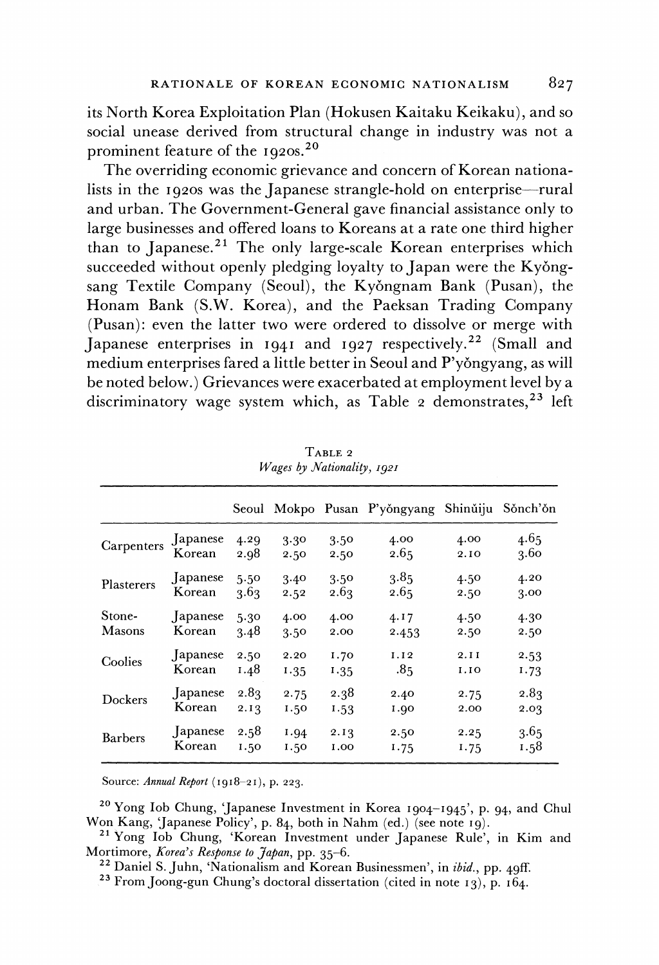**its North Korea Exploitation Plan (Hokusen Kaitaku Keikaku), and so social unease derived from structural change in industry was not a prominent feature of the Ig2os.20** 

**The overriding economic grievance and concern of Korean nationalists in the I920S was the Japanese strangle-hold on enterprise-rural and urban. The Government-General gave financial assistance only to large businesses and offered loans to Koreans at a rate one third higher than to Japanese.21 The only large-scale Korean enterprises which**  succeeded without openly pledging loyalty to Japan were the Kyongsang Textile Company (Seoul), the Kyongnam Bank (Pusan), the **Honam Bank (S.W. Korea), and the Paeksan Trading Company (Pusan): even the latter two were ordered to dissolve or merge with Japanese enterprises in I941 and 1927 respectively.22 (Small and medium enterprises fared a little better in Seoul and P'y6ngyang, as will be noted below.) Grievances were exacerbated at employment level by a**  discriminatory wage system which, as Table 2 demonstrates,<sup>23</sup> left

|                     |      |      |      |                 | Shinŭiju | Sŏnch'ŏn                     |
|---------------------|------|------|------|-----------------|----------|------------------------------|
| Japanese            | 4.29 | 3.30 | 3.50 | 4.00            | 4.00     | 4.65                         |
| Korean              | 2.98 | 2.50 | 2.50 | 2.65            | 2.10     | 3.60                         |
| <i>apanese</i>      | 5.50 | 3.40 | 3.50 | 3.85            | 4.50     | 4.20                         |
| Korean              | 3.63 | 2.52 | 2.63 | 2.65            | 2.50     | 3.00                         |
| apanese             | 5.30 | 4.00 | 4.00 | 4.17            | 4.50     | 4.30                         |
| Korean              | 3.48 | 3.50 | 2.00 | 2.453           | 2.50     | 2.50                         |
| apanese             | 2.50 | 2.20 | 1.70 | I.I2            | 2.II     | 2.53                         |
| Korean              | 1.48 | 1.35 | 1.35 | .8 <sub>5</sub> | 1.10     | 1.73                         |
| Japanese<br>Dockers | 2.83 | 2.75 | 2.38 | 2.40            | 2.75     | 2.83                         |
| Korean              | 2.13 | 1.50 | 1.53 | 1.90            | 2.00     | 2.03                         |
| <b>Japanese</b>     | 2.58 | 1.94 | 2.13 | 2.50            | 2.25     | 3.6 <sub>5</sub>             |
| Korean              | 1.50 | 1.50 | 1.00 | 1.75            | 1.75     | 1.58                         |
|                     |      |      |      |                 |          | Seoul Mokpo Pusan P'yǒngyang |

**TABLE 2 Wages by Nationality, I921** 

**Source: Annual Report (1918-21), p. 223.** 

**<sup>20</sup>Yong Iob Chung, 'Japanese Investment in Korea I904-I945', p. 94, and Chul Won Kang, 'Japanese Policy', p. 84, both in Nahm (ed.) (see note I9).** 

<sup>21</sup> Yong Iob Chung, 'Korean Investment under Japanese Rule', in Kim and Mortimore, Korea's Response to Japan, pp. 35–6.

<sup>22</sup> Daniel S. Juhn, 'Nationalism and Korean Businessmen', in *ibid.*, pp. 49ff.<br><sup>23</sup> From Joong-gun Chung's doctoral dissertation (cited in note 13), p. 164.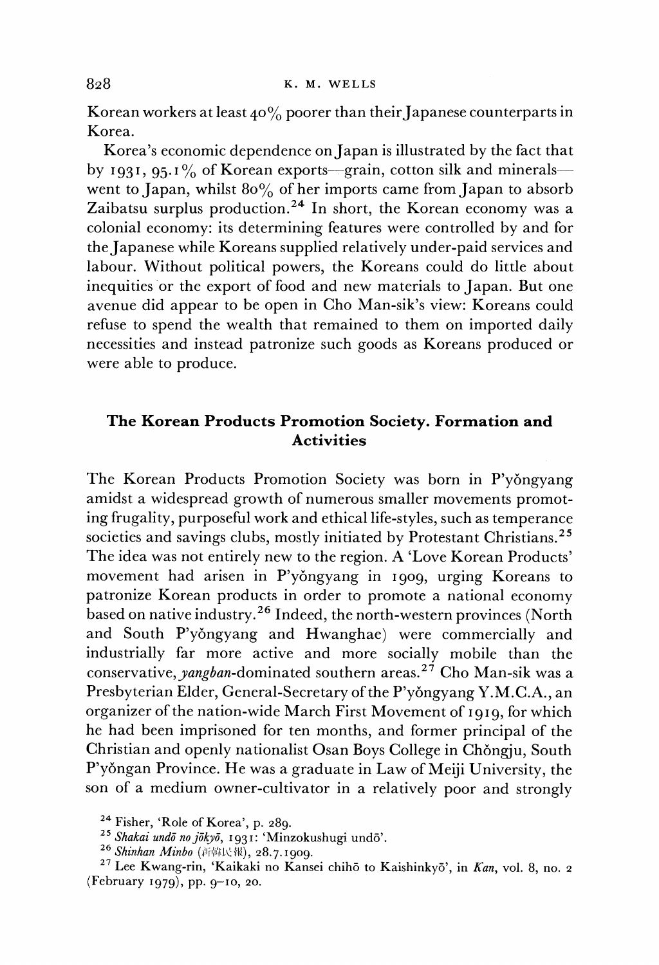**Korean workers at least 40% poorer than theirJapanese counterparts in Korea.** 

**Korea's economic dependence on Japan is illustrated by the fact that**  by 1931, 95.1% of Korean exports—grain, cotton silk and minerals **went to Japan, whilst 80% of her imports came from Japan to absorb Zaibatsu surplus production.24 In short, the Korean economy was a colonial economy: its determining features were controlled by and for**  the Japanese while Koreans supplied relatively under-paid services and **labour. Without political powers, the Koreans could do little about inequities or the export of food and new materials to Japan. But one avenue did appear to be open in Cho Man-sik's view: Koreans could refuse to spend the wealth that remained to them on imported daily necessities and instead patronize such goods as Koreans produced or were able to produce.** 

### **The Korean Products Promotion Society. Formation and Activities**

The Korean Products Promotion Society was born in P'yongyang **amidst a widespread growth of numerous smaller movements promoting frugality, purposeful work and ethical life-styles, such as temperance societies and savings clubs, mostly initiated by Protestant Christians.25 The idea was not entirely new to the region. A 'Love Korean Products'**  movement had arisen in P'yǒngyang in 1909, urging Koreans to **patronize Korean products in order to promote a national economy based on native industry.26 Indeed, the north-western provinces (North**  and South P'vongyang and Hwanghae) were commercially and **industrially far more active and more socially mobile than the conservative,yangban-dominated southern areas.27 Cho Man-sik was a**  Presbyterian Elder, General-Secretary of the P'yongyang Y.M.C.A., an **organizer of the nation-wide March First Movement of 1919, for which he had been imprisoned for ten months, and former principal of the Christian and openly nationalist Osan Boys College in Ch6ngju, South P'yongan Province. He was a graduate in Law of Meiji University, the son of a medium owner-cultivator in a relatively poor and strongly** 

**<sup>24</sup>Fisher, 'Role of Korea', p. 289. <sup>25</sup>Shakai undo no jikyo, 1931: 'Minzokushugi undo'.** 

<sup>&</sup>lt;sup>26</sup> Shinhan Minbo (新韓民報), 28.7.1909.

**<sup>27</sup>Lee Kwang-rin, 'Kaikaki no Kansei chiho to Kaishinky6', in Kan, vol. 8, no. 2 (February 1979), pp. 9-10, 20.**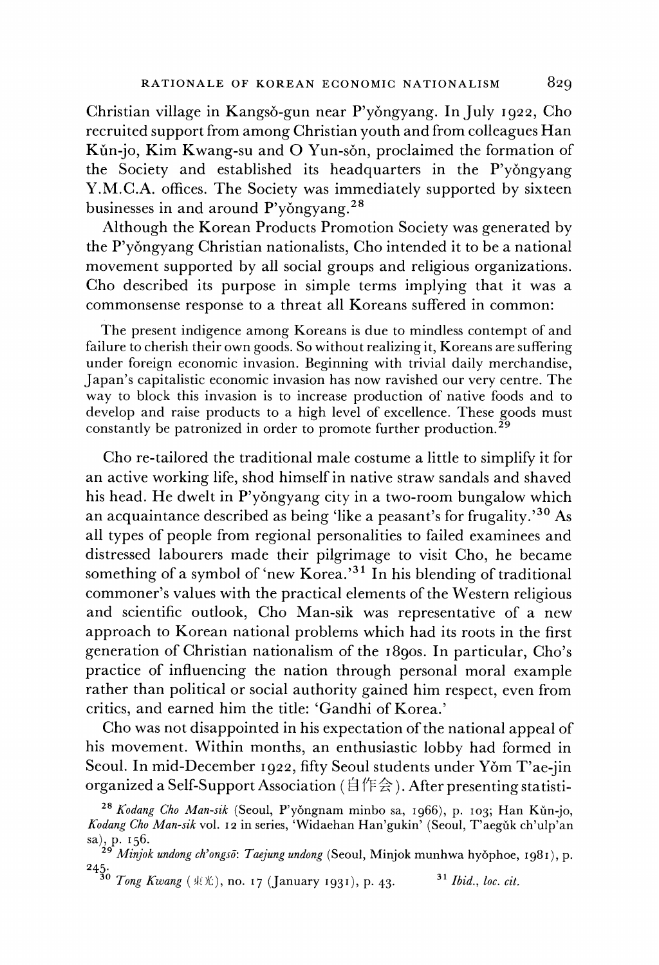**Christian village in Kangs6-gun near P'yongyang. In July 1922, Cho recruited support from among Christian youth and from colleagues Han**  Kůn-jo, Kim Kwang-su and O Yun-sŏn, proclaimed the formation of **the Society and established its headquarters in the P'yongyang Y.M.C.A. offices. The Society was immediately supported by sixteen businesses in and around P'yongyang.28** 

**Although the Korean Products Promotion Society was generated by the P'y6ngyang Christian nationalists, Cho intended it to be a national movement supported by all social groups and religious organizations. Cho described its purpose in simple terms implying that it was a commonsense response to a threat all Koreans suffered in common:** 

**The present indigence among Koreans is due to mindless contempt of and failure to cherish their own goods. So without realizing it, Koreans are suffering under foreign economic invasion. Beginning with trivial daily merchandise, Japan's capitalistic economic invasion has now ravished our very centre. The way to block this invasion is to increase production of native foods and to develop and raise products to a high level of excellence. These goods must constantly be patronized in order to promote further production.29** 

**Cho re-tailored the traditional male costume a little to simplify it for an active working life, shod himself in native straw sandals and shaved his head. He dwelt in P'yongyang city in a two-room bungalow which an acquaintance described as being 'like a peasant's for frugality.'30 As all types of people from regional personalities to failed examinees and distressed labourers made their pilgrimage to visit Cho, he became something of a symbol of'new Korea.'31 In his blending of traditional commoner's values with the practical elements of the Western religious and scientific outlook, Cho Man-sik was representative of a new approach to Korean national problems which had its roots in the first generation of Christian nationalism of the i89os. In particular, Cho's practice of influencing the nation through personal moral example rather than political or social authority gained him respect, even from critics, and earned him the title: 'Gandhi of Korea.'** 

**Cho was not disappointed in his expectation of the national appeal of his movement. Within months, an enthusiastic lobby had formed in Seoul. In mid-December 1922, fifty Seoul students under Yom T'ae-jin organized a Self-Support Association ( n f/I ?). After presenting statisti-**

**<sup>28</sup>Kodang Cho Man-sik (Seoul, P'y6ngnam minbo sa, I966), p. Io3; Han Kiin-jo,**  Kodang Cho Man-sik vol. 12 in series, 'Widaehan Han'gukin' (Seoul, T'aegŭk ch'ulp'an **sa), p. 156.** 

**<sup>29</sup>Minjok undong ch'ongso: Taejung undong (Seoul, Minjok munhwa hy6phoe, I981), p. 245. 30** Tong Kwang (  $\forall x \in \mathbb{R}$  ), no. 17 (January 1931), p. 43.  $\qquad \qquad$  <sup>31</sup> Ibid., loc. cit.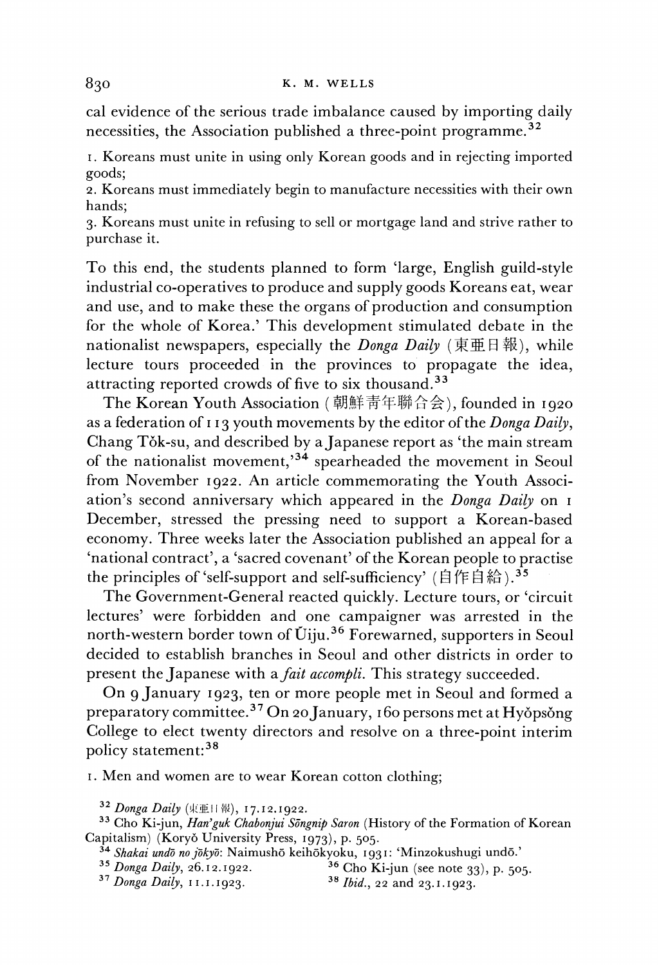**cal evidence of the serious trade imbalance caused by importing daily necessities, the Association published a three-point programme.32** 

**i. Koreans must unite in using only Korean goods and in rejecting imported goods;** 

**2. Koreans must immediately begin to manufacture necessities with their own hands;** 

**3. Koreans must unite in refusing to sell or mortgage land and strive rather to purchase it.** 

**To this end, the students planned to form 'large, English guild-style industrial co-operatives to produce and supply goods Koreans eat, wear and use, and to make these the organs of production and consumption for the whole of Korea.' This development stimulated debate in the**  nationalist newspapers, especially the *Donga Daily* (東亜日報), while **lecture tours proceeded in the provinces to propagate the idea, attracting reported crowds of five to six thousand.33** 

The Korean Youth Association (朝鮮青年聯合会), founded in 1920 **as a federation of 1I 3 youth movements by the editor of the Donga Daily, Chang T6k-su, and described by aJapanese report as 'the main stream of the nationalist movement,'34 spearheaded the movement in Seoul from November 1922. An article commemorating the Youth Association's second anniversary which appeared in the Donga Daily on I December, stressed the pressing need to support a Korean-based economy. Three weeks later the Association published an appeal for a 'national contract', a 'sacred covenant' of the Korean people to practise**   $t$ he principles of 'self-support and self-sufficiency' ( $\hat{H}$   $\hat{F}$   $\hat{H}$   $\hat{F}$ ).<sup>35</sup>

**The Government-General reacted quickly. Lecture tours, or 'circuit lectures' were forbidden and one campaigner was arrested in the north-western border town of Uiju.36 Forewarned, supporters in Seoul decided to establish branches in Seoul and other districts in order to**  present the Japanese with a *fait accompli*. This strategy succeeded.

**On 9 January I923, ten or more people met in Seoul and formed a preparatory committee.37 On 2oJanuary, I60 persons met at Hyopsong College to elect twenty directors and resolve on a three-point interim policy statement:38** 

**i. Men and women are to wear Korean cotton clothing;** 

- <sup>34</sup> Shakai undō no jōkyō: Naimushō keihōkyoku, 1931: 'Minzokushugi undō.' <sup>35</sup> Donga Daily, 26.12.1922. <sup>36</sup> Cho Ki-jun (see note 33), p. 50
- 
- **35** Donga Daily, 26.12.1922. <sup>36</sup> Cho Ki-jun (see note 33), p. 505.<br><sup>37</sup> Donga Daily, 11.1.1923. <sup>38</sup> Ibid., 22 and 23.1.1923.
- 
- **37 Donga Daily, I 1.I.923. 38 Ibid., 22 and 23.1.1923.**

**<sup>32</sup> Donga Daily (東田根), 17.12.1922.**<br><sup>33</sup> Cho Ki-jun, *Han'guk Chabonjui Sōngnip Saron* (History of the Formation of Korean **Capitalism) (Kory6 University Press, I973), p. 505.**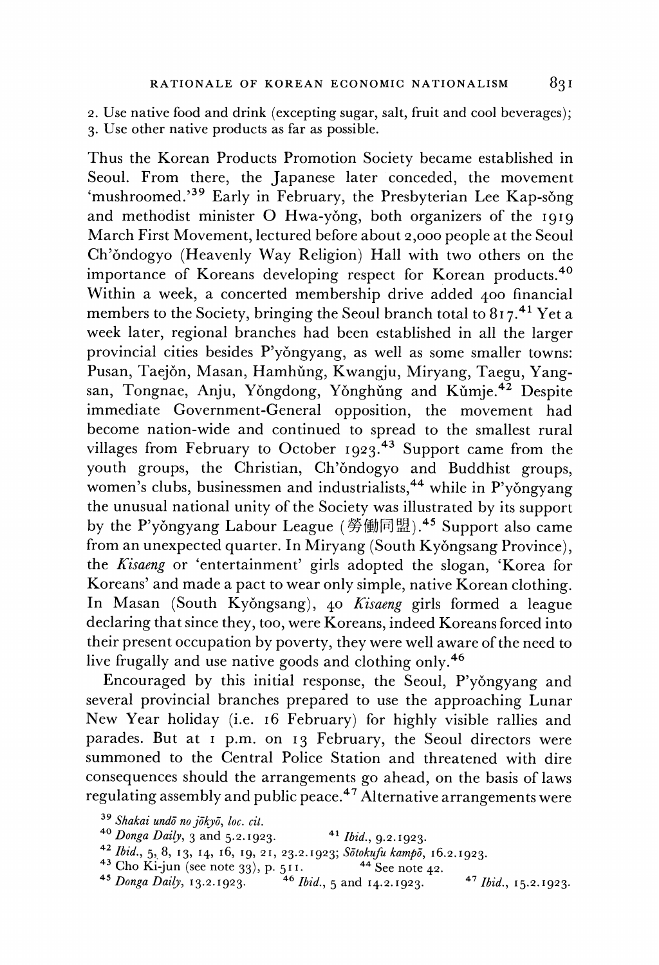**2. Use native food and drink (excepting sugar, salt, fruit and cool beverages); 3. Use other native products as far as possible.** 

**Thus the Korean Products Promotion Society became established in Seoul. From there, the Japanese later conceded, the movement**  'mushroomed.<sup>39</sup> Early in February, the Presbyterian Lee Kap-song and methodist minister O Hwa-yong, both organizers of the 1919 **March First Movement, lectured before about 2,ooo people at the Seoul**  Ch'ondogyo (Heavenly Way Religion) Hall with two others on the **importance of Koreans developing respect for Korean products.40**  Within a week, a concerted membership drive added 400 financial **members to the Society, bringing the Seoul branch total to 817.41 Yet a week later, regional branches had been established in all the larger provincial cities besides P'yongyang, as well as some smaller towns:**  Pusan, Taejŏn, Masan, Hamhŭng, Kwangju, Miryang, Taegu, Yangsan, Tongnae, Anju, Yŏngdong, Yŏnghǔng and Kǔmie.<sup>42</sup> Despite **immediate Government-General opposition, the movement had become nation-wide and continued to spread to the smallest rural villages from February to October i923.43 Support came from the youth groups, the Christian, Ch'ondogyo and Buddhist groups, women's clubs, businessmen and industrialists,44 while in P'yongyang the unusual national unity of the Society was illustrated by its support by the P'yongyang Labour League ( Vfl M).45 Support also came**  from an unexpected quarter. In Miryang (South Kyongsang Province), **the Kisaeng or 'entertainment' girls adopted the slogan, 'Korea for Koreans' and made a pact to wear only simple, native Korean clothing. In Masan (South Kyongsang), 40 Kisaeng girls formed a league declaring that since they, too, were Koreans, indeed Koreans forced into their present occupation by poverty, they were well aware of the need to live frugally and use native goods and clothing only.46** 

**Encouraged by this initial response, the Seoul, P'y6ngyang and several provincial branches prepared to use the approaching Lunar New Year holiday (i.e. I6 February) for highly visible rallies and parades. But at I p.m. on 13 February, the Seoul directors were summoned to the Central Police Station and threatened with dire consequences should the arrangements go ahead, on the basis of laws regulating assembly and public peace.47 Alternative arrangements were** 

**<sup>39</sup>Shakai undo no jokyo, loc. cit.** 

**<sup>40</sup> Donga Daily, 3 and 5.2.1923. 41 Ibid., 9.2.1923.** 

**<sup>42</sup>Ibid., 5, 8, 13, 14, i6, 19, 21, 23.2.1923; Sotokufu kampo, I6.2.I923.** 

**<sup>43</sup>Cho Ki-jun (see note 33), p. 511. <sup>44</sup>See note 42.** 

**<sup>45</sup>Donga Daily, 13.2.1923. 46 Ibid., 5 and I4.2.1923. 47 Ibid., 15.2.1923.**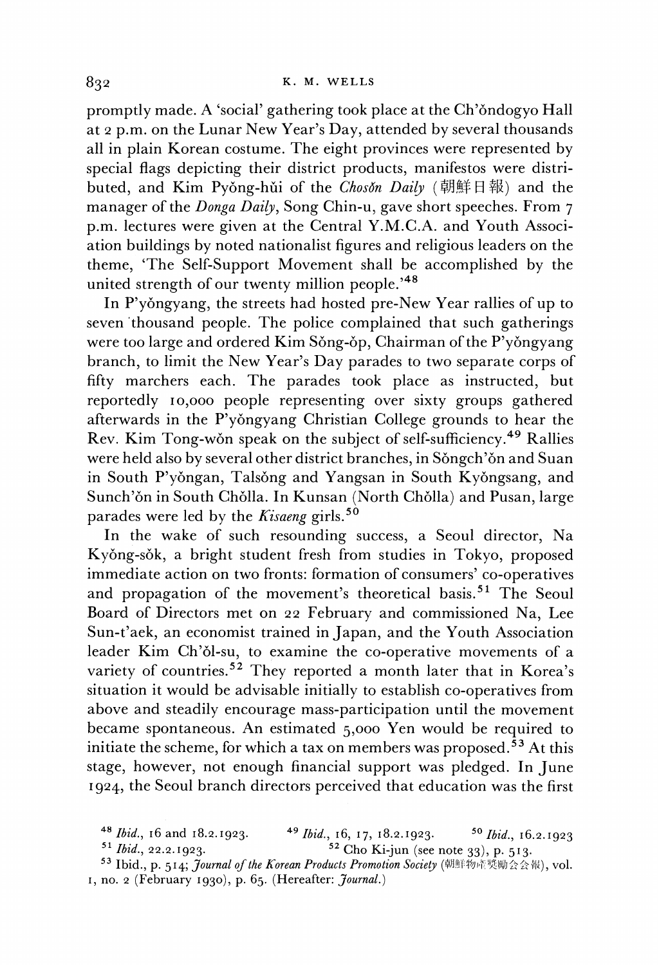**promptly made. A 'social' gathering took place at the Ch'ondogyo Hall at 2 p.m. on the Lunar New Year's Day, attended by several thousands all in plain Korean costume. The eight provinces were represented by special flags depicting their district products, manifestos were distributed, and Kim Pyǒng-hǔi of the Choson Daily (朝鮮日報) and the manager of the Donga Daily, Song Chin-u, gave short speeches. From 7 p.m. lectures were given at the Central Y.M.C.A. and Youth Association buildings by noted nationalist figures and religious leaders on the theme, 'The Self-Support Movement shall be accomplished by the united strength of our twenty million people.'48** 

**In P'yongyang, the streets had hosted pre-New Year rallies of up to seven 'thousand people. The police complained that such gatherings**  were too large and ordered Kim Sǒng-ǒp, Chairman of the P'yǒngyang **branch, to limit the New Year's Day parades to two separate corps of fifty marchers each. The parades took place as instructed, but reportedly 10,000** people representing over sixty groups gathered **afterwards in the P'y6ngyang Christian College grounds to hear the**  Rev. Kim Tong-wǒn speak on the subject of self-sufficiency.<sup>49</sup> Rallies were held also by several other district branches, in Sŏngch'ŏn and Suan in South P'yǒngan, Talsǒng and Yangsan in South Kyǒngsang, and Sunch'<sub>on</sub> in South Cholla. In Kunsan (North Cholla) and Pusan, large **parades were led by the Kisaeng girls.50** 

**In the wake of such resounding success, a Seoul director, Na Kyong-s6k, a bright student fresh from studies in Tokyo, proposed immediate action on two fronts: formation of consumers' co-operatives and propagation of the movement's theoretical basis.51 The Seoul Board of Directors met on 22 February and commissioned Na, Lee Sun-t'aek, an economist trained in Japan, and the Youth Association leader Kim Ch'61-su, to examine the co-operative movements of a variety of countries.52 They reported a month later that in Korea's situation it would be advisable initially to establish co-operatives from above and steadily encourage mass-participation until the movement became spontaneous. An estimated 5,000 Yen would be required to initiate the scheme, for which a tax on members was proposed.53 At this stage, however, not enough financial support was pledged. In June I924, the Seoul branch directors perceived that education was the first** 

**<sup>&</sup>lt;sup>48</sup> Ibid., 16 and 18.2.1923.** <sup>49</sup> Ibid., 16, 17, 18.2.1923. <sup>50</sup> Ibid., 16.2.1923<br><sup>51</sup> Ibid., 22.2.1923. <sup>52</sup> Cho Ki-jun (see note 33), p. 513.

**<sup>51</sup> Ibid., 22.2.I923. <sup>52</sup>Cho Ki-jun (see note 33), p. 513.** 

**<sup>53</sup>** Ibid., p. 514, *Journal of the Korean Products Promotion Society* (朝鮮物産獎勵会会報), vol. **I, no. 2 (February I930), p. 65. (Hereafter: Journal.)**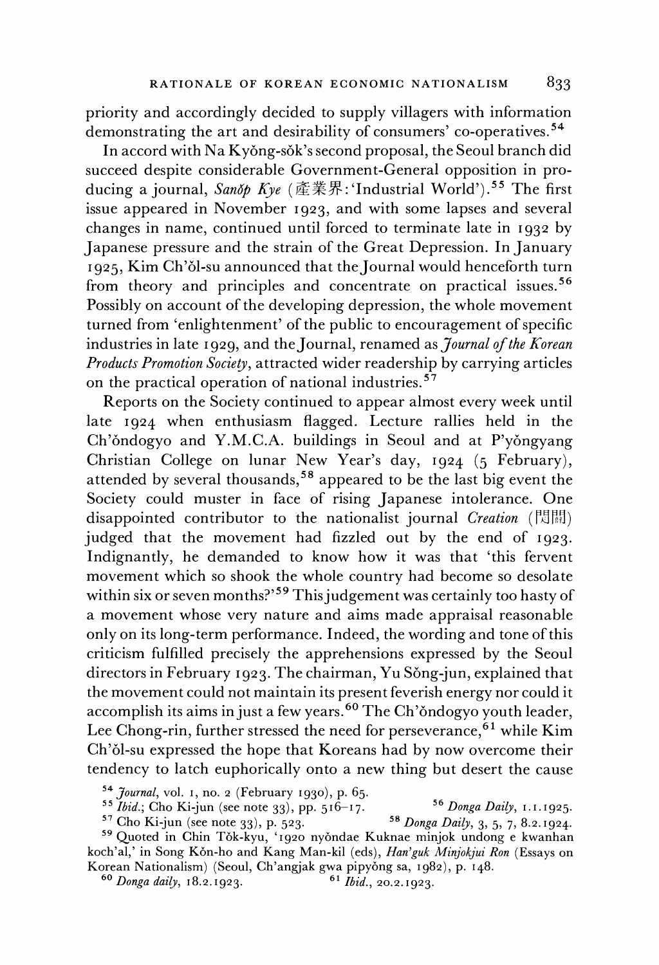**priority and accordingly decided to supply villagers with information demonstrating the art and desirability of consumers' co-operatives.54** 

**In accord with Na Ky6ng-sok's second proposal, the Seoul branch did succeed despite considerable Government-General opposition in pro**ducing a journal, Sanop Kye (產業界: 'Industrial World').<sup>55</sup> The first **issue appeared in November I923, and with some lapses and several changes in name, continued until forced to terminate late in I932 by Japanese pressure and the strain of the Great Depression. In January 1925, Kim Ch'61-su announced that theJournal would henceforth turn from theory and principles and concentrate on practical issues.56 Possibly on account of the developing depression, the whole movement turned from 'enlightenment' of the public to encouragement of specific industries in late 1929, and the Journal, renamed as Journal of the Korean Products Promotion Society, attracted wider readership by carrying articles on the practical operation of national industries.57** 

**Reports on the Society continued to appear almost every week until late I924 when enthusiasm flagged. Lecture rallies held in the Ch'6ndogyo and Y.M.C.A. buildings in Seoul and at P'y6ngyang Christian College on lunar New Year's day, I924 (5 February), attended by several thousands,58 appeared to be the last big event the Society could muster in face of rising Japanese intolerance. One**  disappointed contributor to the nationalist journal *Creation* (閲開) **judged that the movement had fizzled out by the end of 1923. Indignantly, he demanded to know how it was that 'this fervent movement which so shook the whole country had become so desolate**  within six or seven months?'<sup>59</sup> This judgement was certainly too hasty of **a movement whose very nature and aims made appraisal reasonable only on its long-term performance. Indeed, the wording and tone of this criticism fulfilled precisely the apprehensions expressed by the Seoul**  directors in February 1923. The chairman, Yu Sǒng-jun, explained that **the movement could not maintain its present feverish energy nor could it accomplish its aims in just a few years.60 The Ch'ondogyo youth leader,**  Lee Chong-rin, further stressed the need for perseverance,<sup>61</sup> while Kim **Ch'61-su expressed the hope that Koreans had by now overcome their tendency to latch euphorically onto a new thing but desert the cause** 

**57** Cho Ki-jun (see note 33), p. 523. **58** Donga Daily, 3, 5, 7, 8.2.1924. **59 Quoted in Chin T6k-kyu, '1920 ny6ndae Kuknae minjok undong e kwanhan koch'al,' in Song K6n-ho and Kang Man-kil (eds), Han'guk Minjokjui Ron (Essays on**  Korean Nationalism) (Seoul, Ch'angjak gwa pipyǒng sa, 1982), p. 148.<br><sup>60</sup> Donga daily, 18.2.1923.<br>*Korean daily, 18.2.1923.* 

**<sup>60</sup>Donga daily, 18.2.1923. 61 Ibid., 20.2.1923.** 

**<sup>54</sup> Journal, vol. I, no. 2 (February I930), p. 65.** 

**<sup>55</sup> Ibid.; Cho Ki-jun (see note 33), pp. 516-I7. <sup>56</sup>Donga Daily, 1.1.1925.**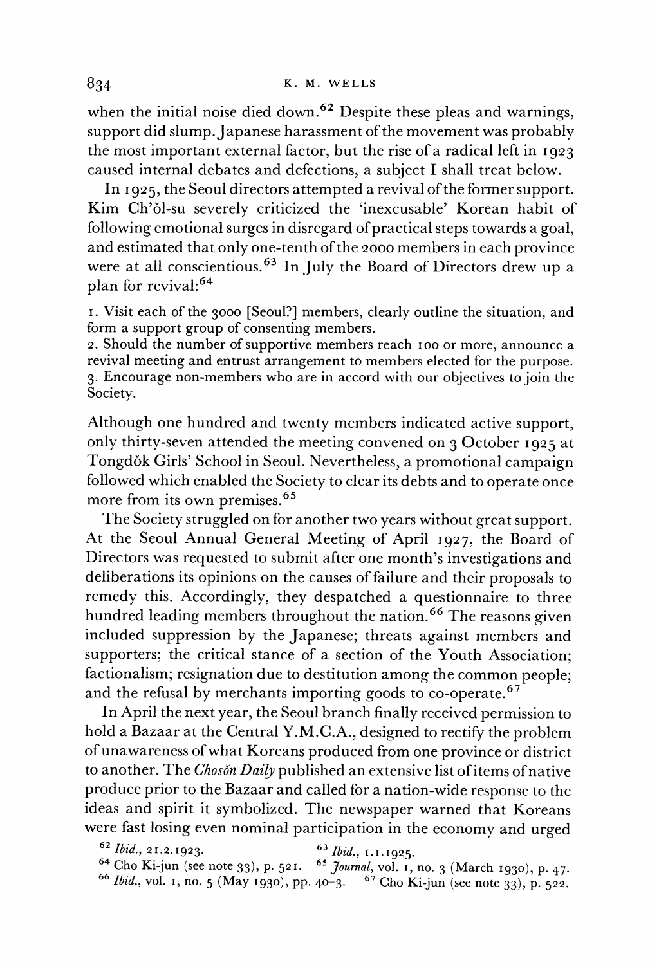**when the initial noise died down.62 Despite these pleas and warnings,**  support did slump. Japanese harassment of the movement was probably **the most important external factor, but the rise of a radical left in <sup>1923</sup> caused internal debates and defections, a subject I shall treat below.** 

**In 1925, the Seoul directors attempted a revival of the former support. Kim Ch'61-su severely criticized the 'inexcusable' Korean habit of following emotional surges in disregard of practical steps towards a goal, and estimated that only one-tenth of the 2000 members in each province were at all conscientious.63 In July the Board of Directors drew up a plan for revival:64** 

**I. Visit each of the 3000 [Seoul?] members, clearly outline the situation, and form a support group of consenting members.** 

2. Should the number of supportive members reach 100 or more, announce a **revival meeting and entrust arrangement to members elected for the purpose. 3. Encourage non-members who are in accord with our objectives to join the Society.** 

**Although one hundred and twenty members indicated active support, only thirty-seven attended the meeting convened on 3 October 1925 at Tongd&k Girls' School in Seoul. Nevertheless, a promotional campaign followed which enabled the Society to clear its debts and to operate once more from its own premises.65** 

**The Society struggled on for another two years without great support. At the Seoul Annual General Meeting of April 1927, the Board of Directors was requested to submit after one month's investigations and deliberations its opinions on the causes of failure and their proposals to remedy this. Accordingly, they despatched a questionnaire to three hundred leading members throughout the nation.66 The reasons given included suppression by the Japanese; threats against members and supporters; the critical stance of a section of the Youth Association; factionalism; resignation due to destitution among the common people; and the refusal by merchants importing goods to co-operate.67** 

**In April the next year, the Seoul branch finally received permission to hold a Bazaar at the Central Y.M.C.A., designed to rectify the problem of unawareness of what Koreans produced from one province or district**  to another. The *Chosón Daily* published an extensive list of items of native **produce prior to the Bazaar and called for a nation-wide response to the ideas and spirit it symbolized. The newspaper warned that Koreans**  were fast losing even nominal participation in the economy and urged <sup>62</sup> *Ibid.*, 21.2.1923.

**<sup>62</sup>Ibid., 21.2.1923. 63 Ibid., 1.1.1925.** 

<sup>&</sup>lt;sup>64</sup> Cho Ki-jun (see note 33), p. 521. <sup>65</sup> Journal, vol. 1, no. 3 (March 1930), p. 47.<br><sup>66</sup> Ibid., vol. 1, no. 5 (May 1930), pp. 40–3. <sup>67</sup> Cho Ki-jun (see note 33), p. 522.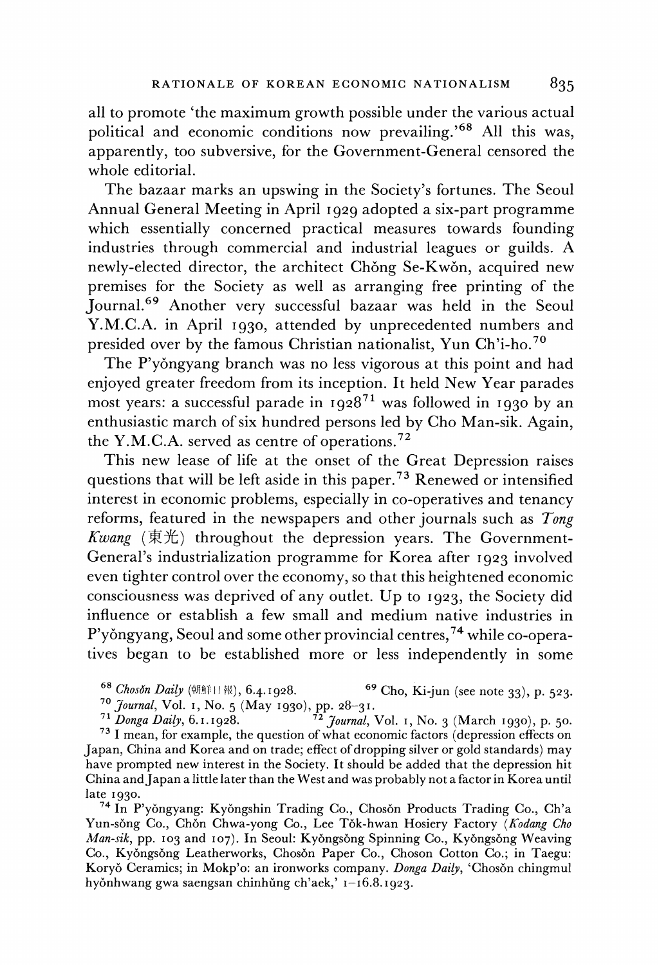**all to promote 'the maximum growth possible under the various actual political and economic conditions now prevailing.'68 All this was, apparently, too subversive, for the Government-General censored the whole editorial.** 

**The bazaar marks an upswing in the Society's fortunes. The Seoul Annual General Meeting in April 1929 adopted a six-part programme which essentially concerned practical measures towards founding industries through commercial and industrial leagues or guilds. A**  newly-elected director, the architect Chong Se-Kwon, acquired new **premises for the Society as well as arranging free printing of the Journal.69 Another very successful bazaar was held in the Seoul Y.M.C.A. in April I930, attended by unprecedented numbers and presided over by the famous Christian nationalist, Yun Ch'i-ho.70** 

The P'yongyang branch was no less vigorous at this point and had **enjoyed greater freedom from its inception. It held New Year parades most years: a successful parade in I92871 was followed in 1930 by an enthusiastic march of six hundred persons led by Cho Man-sik. Again, the Y.M.C.A. served as centre of operations.72** 

**This new lease of life at the onset of the Great Depression raises questions that will be left aside in this paper.73 Renewed or intensified interest in economic problems, especially in co-operatives and tenancy reforms, featured in the newspapers and other journals such as Tong Kwang** (東光) throughout the depression years. The Government-**General's industrialization programme for Korea after 1923 involved even tighter control over the economy, so that this heightened economic consciousness was deprived of any outlet. Up to I923, the Society did influence or establish a few small and medium native industries in P'y6ngyang, Seoul and some other provincial centres,74 while co-operatives began to be established more or less independently in some** 

**71 Donga Daily, 6. .I928. 72 Journal, Vol. I, No. 3 (March 1930), p. 50. 73 I mean, for example, the question of what economic factors (depression effects on Japan, China and Korea and on trade; effect of dropping silver or gold standards) may have prompted new interest in the Society. It should be added that the depression hit**  China and Japan a little later than the West and was probably not a factor in Korea until **late 1930.** 

**<sup>74</sup>In P'y6ngyang: Kyongshin Trading Co., Choson Products Trading Co., Ch'a**  Yun-sǒng Co., Chǒn Chwa-yong Co., Lee Tǒk-hwan Hosiery Factory (Kodang Cho Man-sik, pp. 103 and 107). In Seoul: Kyǒngsǒng Spinning Co., Kyǒngsǒng Weaving **Co., Kyongsong Leatherworks, Choson Paper Co., Choson Cotton Co.; in Taegu:**  Koryǒ Ceramics; in Mokp'o: an ironworks company. Donga Daily, 'Chosǒn chingmul **hy6nhwang gwa saengsan chinhing ch'aek,' I-I6.8.1923.** 

**<sup>&</sup>lt;sup>68</sup> Chosón Daily (朝鮮日報), 6.4.1928. <sup>69</sup> Cho, Ki-jun (see note 33), p. 523.** <sup>70</sup> Journal, Vol. 1, No. 5 (May 1930), pp. 28-31. <br><sup>71</sup> Donga Daily, 6.1.1928. <sup>72</sup> Journal, Vol. 1, No. 3 (March 1930), p. 50.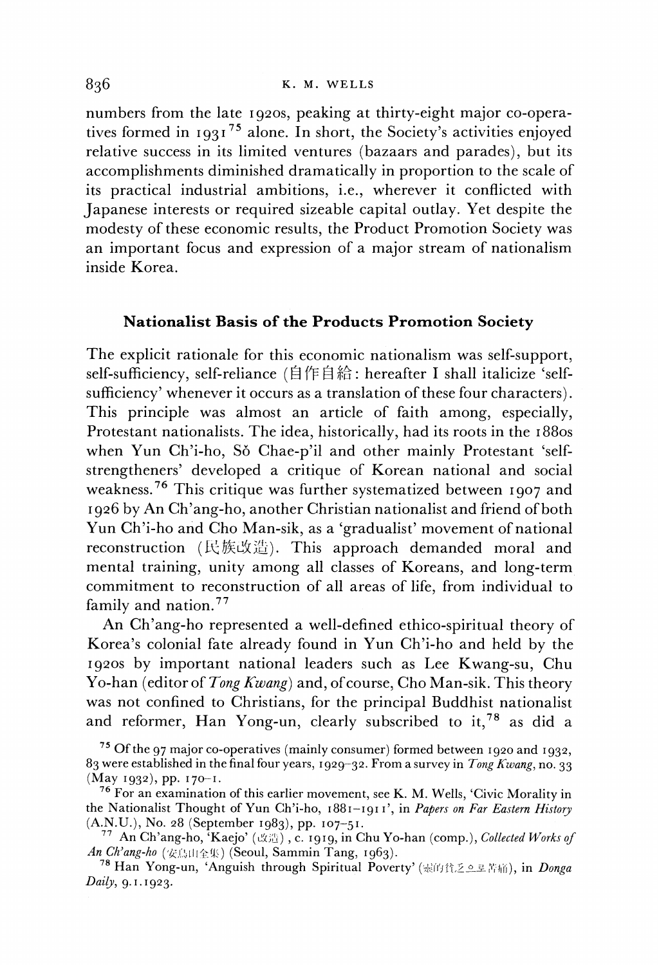**numbers from the late I920s, peaking at thirty-eight major co-operatives formed in I93I75 alone. In short, the Society's activities enjoyed relative success in its limited ventures (bazaars and parades), but its accomplishments diminished dramatically in proportion to the scale of its practical industrial ambitions, i.e., wherever it conflicted with Japanese interests or required sizeable capital outlay. Yet despite the modesty of these economic results, the Product Promotion Society was an important focus and expression of a major stream of nationalism inside Korea.** 

#### **Nationalist Basis of the Products Promotion Society**

**The explicit rationale for this economic nationalism was self-support,**  self-sufficiency, self-reliance (自作自給: hereafter I shall italicize 'self**sufficiency' whenever it occurs as a translation of these four characters). This principle was almost an article of faith among, especially, Protestant nationalists. The idea, historically, had its roots in the I88os when Yun Ch'i-ho, S6 Chae-p'il and other mainly Protestant 'selfstrengtheners' developed a critique of Korean national and social weakness.76 This critique was further systematized between 1907 and 1926 by An Ch'ang-ho, another Christian nationalist and friend of both Yun Ch'i-ho and Cho Man-sik, as a 'gradualist' movement of national reconstruction** (民族改造). This approach demanded moral and **mental training, unity among all classes of Koreans, and long-term commitment to reconstruction of all areas of life, from individual to family and nation.77** 

**An Ch'ang-ho represented a well-defined ethico-spiritual theory of Korea's colonial fate already found in Yun Ch'i-ho and held by the I920s by important national leaders such as Lee Kwang-su, Chu Yo-han (editor of Tong Kwang) and, of course, Cho Man-sik. This theory was not confined to Christians, for the principal Buddhist nationalist and reformer, Han Yong-un, clearly subscribed to it,78 as did a** 

**<sup>75</sup> Of the 97 major co-operatives (mainly consumer) formed between 1920 and 1932, 83 were established in the final four years, 1929-32. From a survey in Tong Kwang, no. 33 (May 1932), pp. I70-I.** 

**<sup>76</sup>For an examination of this earlier movement, see K. M. Wells, 'Civic Morality in**  the Nationalist Thought of Yun Ch'i-ho, 1881-1911', in *Papers on Far Eastern History* (A.N.U.), No. 28 (September 1983), pp. 107-51.

**<sup>(</sup>A.N.U.), No. 28 (September 1983), pp. I07-5I. <sup>77</sup>An Ch'ang-ho, 'Kaejo' (iAj'.i) , c. I919, in Chu Yo-han (comp.), Collected Works of**  An Ch'ang-ho (安島山全集) (Seoul, Sammin Tang, 1963).

**<sup>78</sup> Han Yong-un, 'Anguish through Spiritual Poverty'** (靈的貧乏으로苦痛), in Donga **Daily, 9. I. 1923.**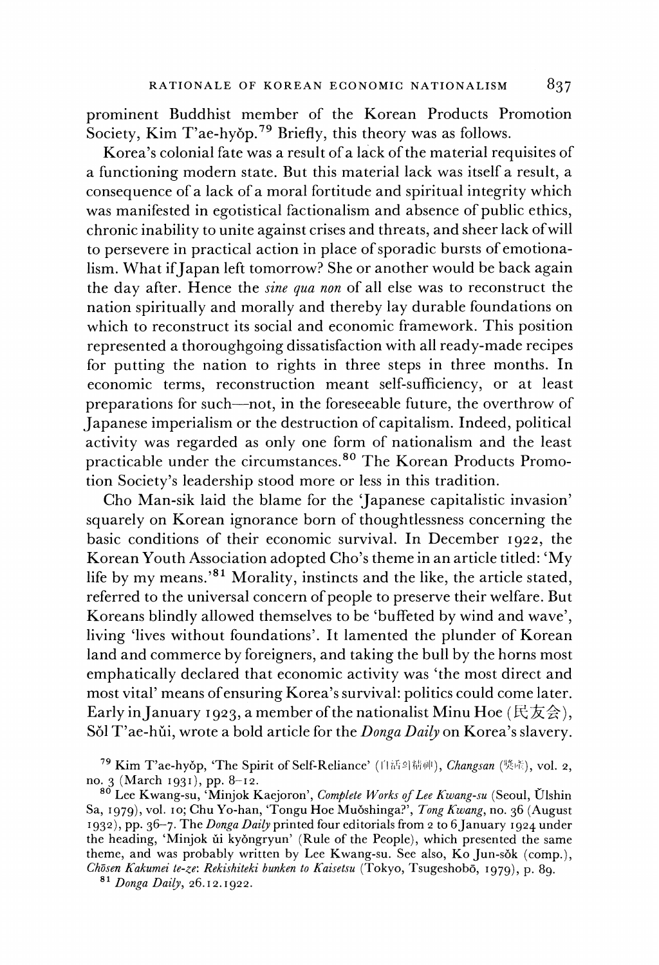**prominent Buddhist member of the Korean Products Promotion**  Society, Kim T'ae-hyŏp.<sup>79</sup> Briefly, this theory was as follows.

**Korea's colonial fate was a result of a lack of the material requisites of a functioning modern state. But this material lack was itself a result, a consequence of a lack of a moral fortitude and spiritual integrity which was manifested in egotistical factionalism and absence of public ethics, chronic inability to unite against crises and threats, and sheer lack of will to persevere in practical action in place of sporadic bursts of emotionalism. What ifJapan left tomorrow? She or another would be back again the day after. Hence the sine qua non of all else was to reconstruct the nation spiritually and morally and thereby lay durable foundations on which to reconstruct its social and economic framework. This position represented a thoroughgoing dissatisfaction with all ready-made recipes for putting the nation to rights in three steps in three months. In economic terms, reconstruction meant self-sufficiency, or at least preparations for such-not, in the foreseeable future, the overthrow of Japanese imperialism or the destruction of capitalism. Indeed, political activity was regarded as only one form of nationalism and the least practicable under the circumstances.80 The Korean Products Promotion Society's leadership stood more or less in this tradition.** 

**Cho Man-sik laid the blame for the 'Japanese capitalistic invasion' squarely on Korean ignorance born of thoughtlessness concerning the basic conditions of their economic survival. In December I922, the Korean Youth Association adopted Cho's theme in an article titled: 'My life by my means.'81 Morality, instincts and the like, the article stated, referred to the universal concern of people to preserve their welfare. But Koreans blindly allowed themselves to be 'buffeted by wind and wave', living 'lives without foundations'. It lamented the plunder of Korean land and commerce by foreigners, and taking the bull by the horns most emphatically declared that economic activity was 'the most direct and most vital' means of ensuring Korea's survival: politics could come later.**  Early in January 1923, a member of the nationalist Minu Hoe (民友会), Sol T'ae-hui, wrote a bold article for the *Donga Daily* on Korea's slavery.

79 Kim T'ae-hyǒp, 'The Spirit of Self-Reliance' (白活의精神), Changsan (獎產), vol. 2,

**Donga Daily, 26.12.1922.** 

**no. 3 (March I93I), pp. 8-I2. <sup>80</sup>Lee Kwang-su, 'Minjok Kaejoron', Complete Works of Lee Kwang-su (Seoul, Tlshin**  Sa, 1979), vol. 10; Chu Yo-han, 'Tongu Hoe Muŏshinga?', Tong Kwang, no. 36 (August **I932), pp. 36-7. The Donga Daily printed four editorials from 2 to 6January I924 under the heading, 'Minjok ui kyongryun' (Rule of the People), which presented the same**  theme, and was probably written by Lee Kwang-su. See also, Ko Jun-sŏk (comp.), Chōsen Kakumei te-ze: Rekishiteki bunken to Kaisetsu (Tokyo, Tsugeshobō, 1979), p. 89.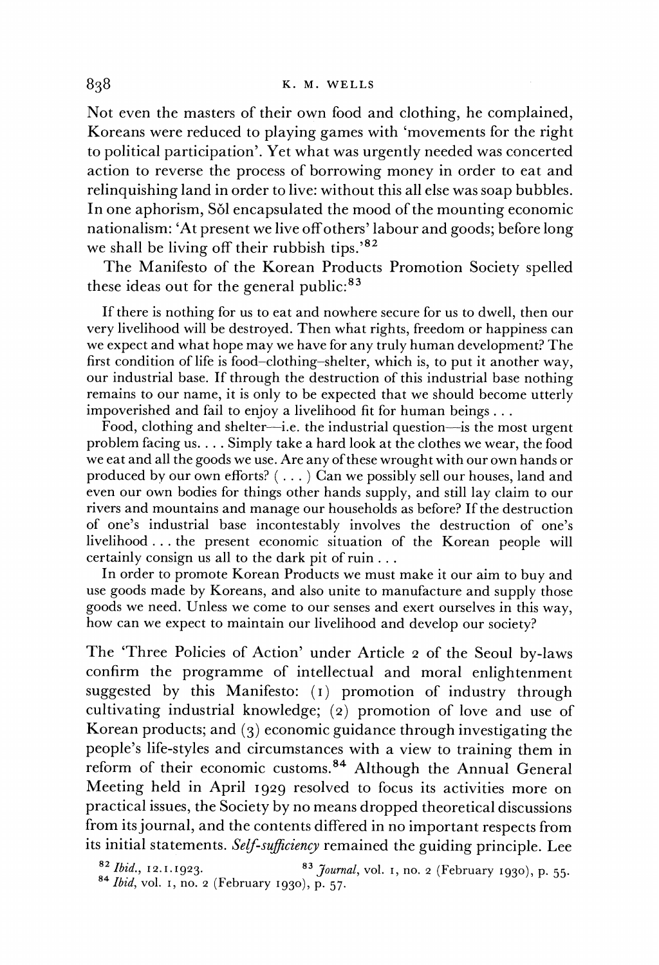**Not even the masters of their own food and clothing, he complained, Koreans were reduced to playing games with 'movements for the right to political participation'. Yet what was urgently needed was concerted action to reverse the process of borrowing money in order to eat and relinquishing land in order to live: without this all else was soap bubbles. In one aphorism, Sol encapsulated the mood of the mounting economic nationalism: 'At present we live off others' labour and goods; before long we shall be living off their rubbish tips.'82** 

**The Manifesto of the Korean Products Promotion Society spelled these ideas out for the general public:83** 

**If there is nothing for us to eat and nowhere secure for us to dwell, then our very livelihood will be destroyed. Then what rights, freedom or happiness can we expect and what hope may we have for any truly human development? The first condition of life is food-clothing-shelter, which is, to put it another way, our industrial base. If through the destruction of this industrial base nothing remains to our name, it is only to be expected that we should become utterly impoverished and fail to enjoy a livelihood fit for human beings...** 

Food, clothing and shelter—i.e. the industrial question—is the most urgent **problem facing us.... Simply take a hard look at the clothes we wear, the food we eat and all the goods we use. Are any of these wrought with our own hands or produced by our own efforts? (...) Can we possibly sell our houses, land and even our own bodies for things other hands supply, and still lay claim to our rivers and mountains and manage our households as before? If the destruction of one's industrial base incontestably involves the destruction of one's livelihood... the present economic situation of the Korean people will certainly consign us all to the dark pit of ruin ...** 

**In order to promote Korean Products we must make it our aim to buy and use goods made by Koreans, and also unite to manufacture and supply those goods we need. Unless we come to our senses and exert ourselves in this way, how can we expect to maintain our livelihood and develop our society?** 

**The 'Three Policies of Action' under Article 2 of the Seoul by-laws confirm the programme of intellectual and moral enlightenment suggested by this Manifesto: (I) promotion of industry through cultivating industrial knowledge; (2) promotion of love and use of Korean products; and (3) economic guidance through investigating the people's life-styles and circumstances with a view to training them in reform of their economic customs.84 Although the Annual General Meeting held in April I929 resolved to focus its activities more on practical issues, the Society by no means dropped theoretical discussions from its journal, and the contents differed in no important respects from its initial statements. Self-sufficiency remained the guiding principle. Lee** 

**82 Ibid., 12.I.I923. 3 Journal, vol. I, no. 2 (February 1930), p. 55. 84 Ibid, vol. I, no. 2 (February 1930), p. 57.**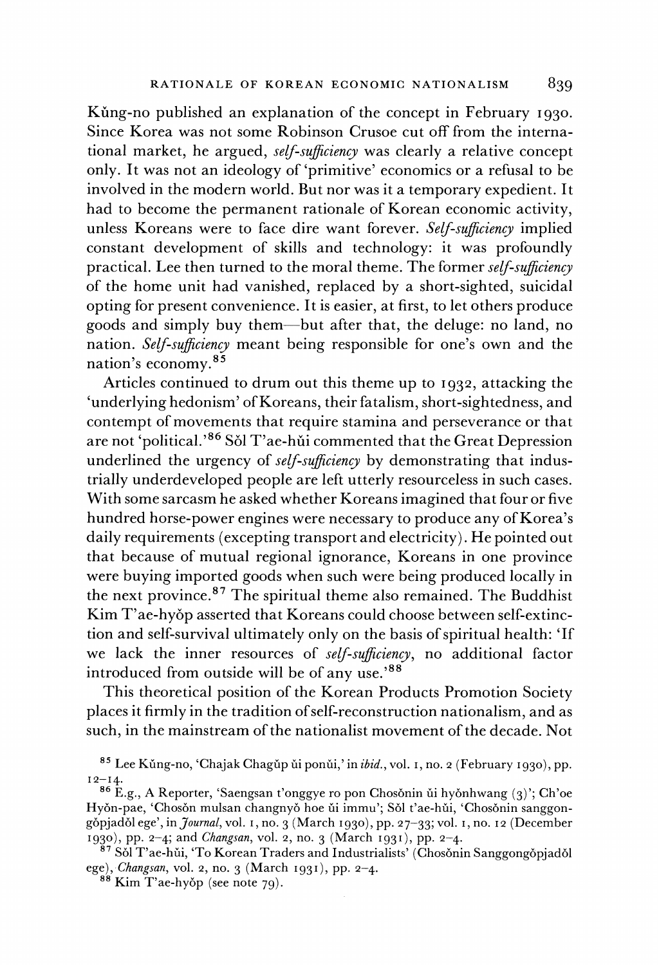Kung-no published an explanation of the concept in February 1930. **Since Korea was not some Robinson Crusoe cut off from the international market, he argued, self-sufficiency was clearly a relative concept only. It was not an ideology of 'primitive' economics or a refusal to be involved in the modern world. But nor was it a temporary expedient. It had to become the permanent rationale of Korean economic activity, unless Koreans were to face dire want forever. Self-sufficiency implied constant development of skills and technology: it was profoundly practical. Lee then turned to the moral theme. The former self-sufficiency of the home unit had vanished, replaced by a short-sighted, suicidal opting for present convenience. It is easier, at first, to let others produce goods and simply buy them-but after that, the deluge: no land, no nation. Self-sufficiency meant being responsible for one's own and the nation's economy.85** 

**Articles continued to drum out this theme up to I932, attacking the 'underlying hedonism' of Koreans, their fatalism, short-sightedness, and contempt of movements that require stamina and perseverance or that are not 'political.'86 S61 T'ae-hiui commented that the Great Depression underlined the urgency of self-sufficiency by demonstrating that industrially underdeveloped people are left utterly resourceless in such cases. With some sarcasm he asked whether Koreans imagined that four or five hundred horse-power engines were necessary to produce any of Korea's daily requirements (excepting transport and electricity). He pointed out that because of mutual regional ignorance, Koreans in one province were buying imported goods when such were being produced locally in the next province.87 The spiritual theme also remained. The Buddhist**  Kim T'ae-hyŏp asserted that Koreans could choose between self-extinc**tion and self-survival ultimately only on the basis of spiritual health: 'If we lack the inner resources of self-sufficiency, no additional factor introduced from outside will be of any use.'88** 

**This theoretical position of the Korean Products Promotion Society places it firmly in the tradition of self-reconstruction nationalism, and as such, in the mainstream of the nationalist movement of the decade. Not** 

<sup>85</sup> Lee Kǔng-no, 'Chajak Chagǔp ǔi ponǔi,' in *ibid.*, vol. 1, no. 2 (February 1930), pp.  $I2-I4.$ 

<sup>&</sup>lt;sup>86</sup> E.g., A Reporter, 'Saengsan t'onggye ro pon Chosŏnin ŭi hyŏnhwang (3)'; Ch'oe Hyǒn-pae, 'Chosǒn mulsan changnyǒ hoe ǔi immu'; Sǒl t'ae-hǔi, 'Chosǒnin sanggon**g6pjad6l ege', in Journal, vol. i, no. 3 (March 1930), pp. 27-33; vol. I, no. <sup>12</sup>(December I930), pp. 2-4; and Changsan, vol. 2, no. 3 (March i93I), pp. 2-4.** 

<sup>&</sup>lt;sup>87</sup> Sŏl T'ae-hǔi, 'To Korean Traders and Industrialists' (Chosŏnin Sanggongŏpjadŏl **ege),Changsan, vol. 2, no. 3 (March 1931), pp. 2-4.** 

**<sup>88</sup>Kim T'ae-hy6p (see note 79).**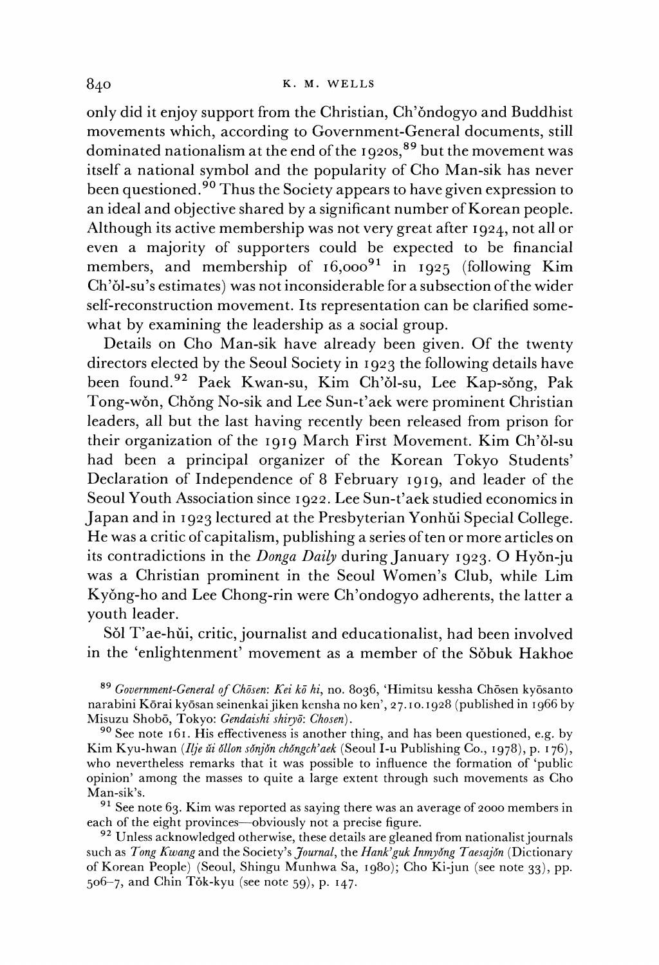**only did it enjoy support from the Christian, Ch'6ndogyo and Buddhist movements which, according to Government-General documents, still**  dominated nationalism at the end of the **1920s**,<sup>89</sup> but the movement was **itself a national symbol and the popularity of Cho Man-sik has never been questioned.90 Thus the Society appears to have given expression to an ideal and objective shared by a significant number of Korean people. Although its active membership was not very great after 1924, not all or even a majority of supporters could be expected to be financial**  members, and membership of  $16,000^{91}$  in 1925 (following Kim **Ch'61-su's estimates) was not inconsiderable for a subsection of the wider self-reconstruction movement. Its representation can be clarified somewhat by examining the leadership as a social group.** 

**Details on Cho Man-sik have already been given. Of the twenty directors elected by the Seoul Society in 1923 the following details have been found.92 Paek Kwan-su, Kim Ch'61-su, Lee Kap-s6ng, Pak**  Tong-wǒn, Chǒng No-sik and Lee Sun-t'aek were prominent Christian **leaders, all but the last having recently been released from prison for their organization of the I9I9 March First Movement. Kim Ch'61-su had been a principal organizer of the Korean Tokyo Students' Declaration of Independence of 8 February I919, and leader of the Seoul Youth Association since 1922. Lee Sun-t'aek studied economics in Japan and in 1923 lectured at the Presbyterian Yonhiui Special College. He was a critic of capitalism, publishing a series often or more articles on its contradictions in the Donga Daily duringJanuary 1923. 0 Hy6n-ju was a Christian prominent in the Seoul Women's Club, while Lim Kyong-ho and Lee Chong-rin were Ch'ondogyo adherents, the latter a youth leader.** 

Sŏl T'ae-hǔi, critic, journalist and educationalist, had been involved **in the 'enlightenment' movement as a member of the S6buk Hakhoe** 

<sup>89</sup> Government-General of Chōsen: Kei kō hi, no. 8036, 'Himitsu kessha Chōsen kyōsanto **narabini Korai kyosan seinenkai jiken kensha no ken', 27. I . 1928 (published in 1966 by Misuzu Shob6, Tokyo: Gendaishi shiryo: Chosen).** 

**90 See note I6I. His effectiveness is another thing, and has been questioned, e.g. by**  Kim Kyu-hwan (Ilje ŭi öllon s*ŏnjŏn chŏngch'aek* (Seoul I-u Publishing Co., 1978), p. 176), **who nevertheless remarks that it was possible to influence the formation of 'public opinion' among the masses to quite a large extent through such movements as Cho Man-sik's.** 

**91 See note 63. Kim was reported as saying there was an average of 2000 members in each of the eight provinces-obviously not a precise figure.** 

**92 Unless acknowledged otherwise, these details are gleaned from nationalist journals**  such as *Tong Kwang* and the Society's *Journal*, the Hank'guk Inmyong Taesajon (Dictionary **of Korean People) (Seoul, Shingu Munhwa Sa, I980); Cho Ki-jun (see note 33), pp. 506-7, and Chin T6k-kyu (see note 59), p. I47.**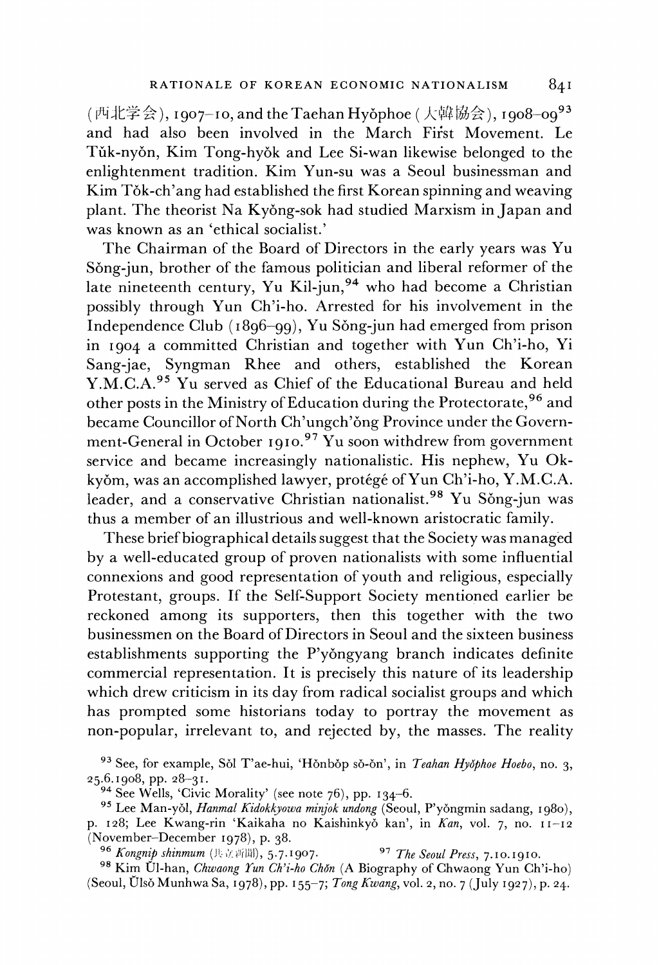**(ljfjJi~Lj/), I907-IO, and the Taehan Hy6phoe (A'[W /), I9o8-o993 and had also been involved in the March First Movement. Le Tuik-nyon, Kim Tong-hyok and Lee Si-wan likewise belonged to the enlightenment tradition. Kim Yun-su was a Seoul businessman and Kim Tok-ch'ang had established the first Korean spinning and weaving plant. The theorist Na Kyong-sok had studied Marxism in Japan and was known as an 'ethical socialist.'** 

**The Chairman of the Board of Directors in the early years was Yu S6ng-jun, brother of the famous politician and liberal reformer of the**  late nineteenth century, Yu Kil-jun,<sup>94</sup> who had become a Christian **possibly through Yun Ch'i-ho. Arrested for his involvement in the Independence Club (1896-99), Yu S6ng-jun had emerged from prison in 1904 a committed Christian and together with Yun Ch'i-ho, Yi Sang-jae, Syngman Rhee and others, established the Korean Y.M.C.A.95 Yu served as Chief of the Educational Bureau and held other posts in the Ministry of Education during the Protectorate,96 and**  became Councillor of North Ch'ungch'ŏng Province under the Govern**ment-General in October I9IO.97 Yu soon withdrew from government service and became increasingly nationalistic. His nephew, Yu Okky6m, was an accomplished lawyer, protege of Yun Ch'i-ho, Y.M.C.A.**  leader, and a conservative Christian nationalist.<sup>98</sup> Yu Sǒng-jun was **thus a member of an illustrious and well-known aristocratic family.** 

**These brief biographical details suggest that the Society was managed by a well-educated group of proven nationalists with some influential connexions and good representation of youth and religious, especially Protestant, groups. If the Self-Support Society mentioned earlier be reckoned among its supporters, then this together with the two businessmen on the Board of Directors in Seoul and the sixteen business establishments supporting the P'yongyang branch indicates definite commercial representation. It is precisely this nature of its leadership which drew criticism in its day from radical socialist groups and which has prompted some historians today to portray the movement as non-popular, irrelevant to, and rejected by, the masses. The reality** 

<sup>&</sup>lt;sup>93</sup> See, for example, Sŏl T'ae-hui, 'Hŏnbŏp sŏ-ŏn', in Teahan Hyŏphoe Hoebo, no. 3, **25.6. I908, pp. 28-3I.** 

**<sup>94</sup> See Wells, 'Civic Morality' (see note 76), pp. 134-6.** 

**<sup>95</sup>Lee Man-yol, Hanmal Kidokkyowa minjok undong (Seoul, P'y6ngmin sadang, 1980), p. I28; Lee Kwang-rin 'Kaikaha no Kaishinky6 kan', in Kan, vol. 7, no. II-I2 (November-December I978), p. 38.** 

**<sup>96</sup> Kongnip shinmum** ( $\mu$ ,  $\mu$ ,  $\mu$ ), 5.7.1907. <br> **98 Kim Ul-han, Chwaong Yun Ch'i-ho Chŏn** (A Biography of Chwaong Yun Ch'i-ho)

**<sup>(</sup>Seoul, filso Munhwa Sa, 1978), pp. I55-7; Tong Kwang, vol. 2, no. 7 (July I927), p. 24.**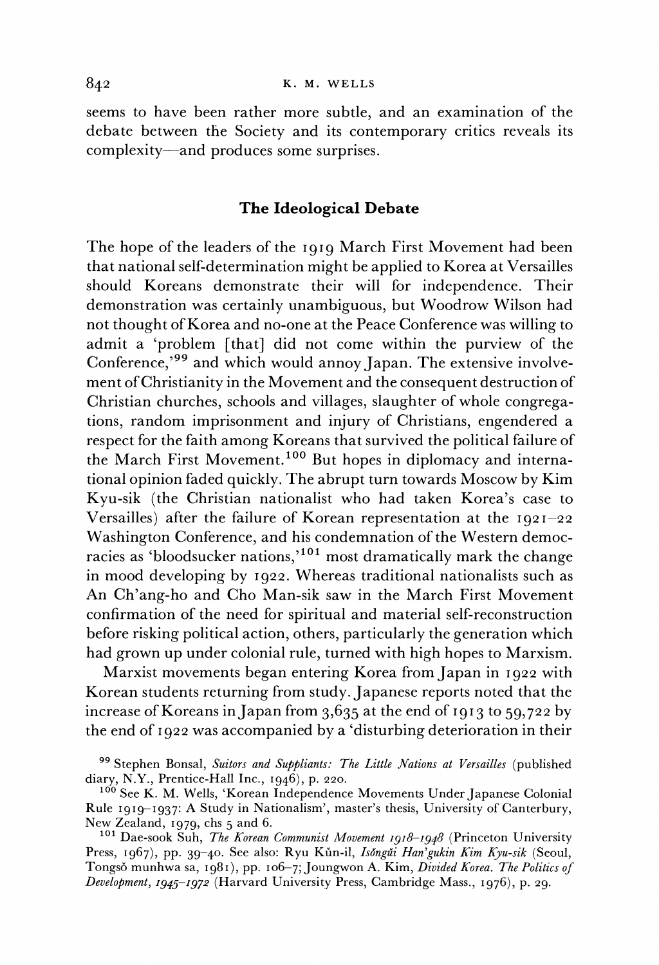**seems to have been rather more subtle, and an examination of the debate between the Society and its contemporary critics reveals its complexity-and produces some surprises.** 

#### **The Ideological Debate**

**The hope of the leaders of the I919 March First Movement had been that national self-determination might be applied to Korea at Versailles should Koreans demonstrate their will for independence. Their demonstration was certainly unambiguous, but Woodrow Wilson had not thought of Korea and no-one at the Peace Conference was willing to admit a 'problem [that] did not come within the purview of the Conference,'99 and which would annoy Japan. The extensive involvement of Christianity in the Movement and the consequent destruction of Christian churches, schools and villages, slaughter of whole congregations, random imprisonment and injury of Christians, engendered a respect for the faith among Koreans that survived the political failure of the March First Movement.100 But hopes in diplomacy and international opinion faded quickly. The abrupt turn towards Moscow by Kim Kyu-sik (the Christian nationalist who had taken Korea's case to Versailles) after the failure of Korean representation at the 1921-22 Washington Conference, and his condemnation of the Western democ**racies as 'bloodsucker nations,'<sup>101</sup> most dramatically mark the change **in mood developing by 1922. Whereas traditional nationalists such as An Ch'ang-ho and Cho Man-sik saw in the March First Movement confirmation of the need for spiritual and material self-reconstruction before risking political action, others, particularly the generation which had grown up under colonial rule, turned with high hopes to Marxism.** 

**Marxist movements began entering Korea from Japan in 1922 with Korean students returning from study. Japanese reports noted that the increase of Koreans in Japan from 3,635 at the end of 1913 to 59,722 by the end of 1922 was accompanied by a 'disturbing deterioration in their** 

**<sup>99</sup>Stephen Bonsai, Suitors and Suppliants: The Little Nations at Versailles (published diary, N.Y., Prentice-Hall Inc., I946), p. 220.** 

<sup>&</sup>lt;sup>100</sup> See K. M. Wells, 'Korean Independence Movements Under Japanese Colonial **Rule 1919-1937: A Study in Nationalism', master's thesis, University of Canterbury, New Zealand, 1979, chs 5 and 6.** 

<sup>&</sup>lt;sup>101</sup> Dae-sook Suh, *The Korean Communist Movement 1918–1948* (Princeton University Press, 1967), pp. 39-40. See also: Ryu Kǔn-il, Isongui Han<sup>y</sup>gukin Kim Kyu-sik (Seoul, Tongsŏ munhwa sa, 1981), pp. 106-7; Joungwon A. Kim, *Divided Korea. The Politics of* **Development, 1945-i972 (Harvard University Press, Cambridge Mass., I976), p. 29.**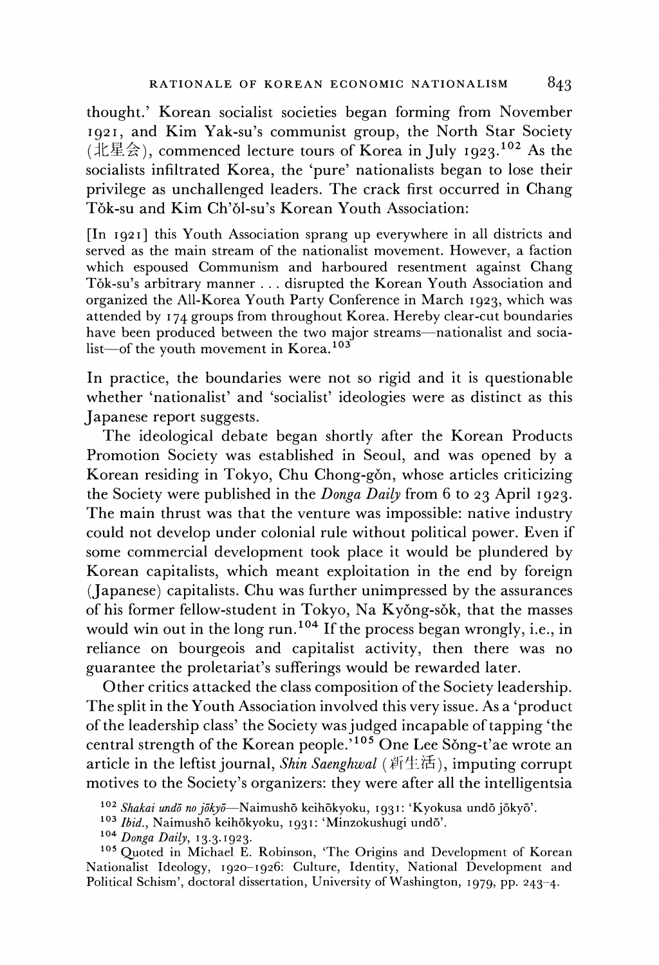**thought.' Korean socialist societies began forming from November 1921, and Kim Yak-su's communist group, the North Star Society (4L/Y^), commenced lecture tours of Korea in July 1923.102 As the socialists infiltrated Korea, the 'pure' nationalists began to lose their privilege as unchallenged leaders. The crack first occurred in Chang Tok-su and Kim Ch'ol-su's Korean Youth Association:** 

**[In 1921] this Youth Association sprang up everywhere in all districts and served as the main stream of the nationalist movement. However, a faction which espoused Communism and harboured resentment against Chang T6k-su's arbitrary manner... disrupted the Korean Youth Association and organized the All-Korea Youth Party Conference in March 1923, which was attended by 174 groups from throughout Korea. Hereby clear-cut boundaries**  have been produced between the two major streams—nationalist and socia**list-of the youth movement in Korea.103** 

**In practice, the boundaries were not so rigid and it is questionable whether 'nationalist' and 'socialist' ideologies were as distinct as this Japanese report suggests.** 

**The ideological debate began shortly after the Korean Products Promotion Society was established in Seoul, and was opened by a**  Korean residing in Tokyo, Chu Chong-gǒn, whose articles criticizing **the Society were published in the Donga Daily from 6 to 23 April I923. The main thrust was that the venture was impossible: native industry could not develop under colonial rule without political power. Even if some commercial development took place it would be plundered by Korean capitalists, which meant exploitation in the end by foreign (Japanese) capitalists. Chu was further unimpressed by the assurances of his former fellow-student in Tokyo, Na Kyong-s6k, that the masses would win out in the long run.104 If the process began wrongly, i.e., in reliance on bourgeois and capitalist activity, then there was no guarantee the proletariat's sufferings would be rewarded later.** 

**Other critics attacked the class composition of the Society leadership. The split in the Youth Association involved this very issue. As a 'product of the leadership class' the Society was judged incapable of tapping 'the central strength of the Korean people.105 One Lee S6ng-t'ae wrote an article in the leftist journal, Shin Saenghwal (`1 rIfS), imputing corrupt motives to the Society's organizers: they were after all the intelligentsia** 

**104 Donga Daily, I3.3.1923.** 

**<sup>105</sup>Quoted in Michael E. Robinson, 'The Origins and Development of Korean Nationalist Ideology, I920-I926: Culture, Identity, National Development and Political Schism', doctoral dissertation, University of Washington, I979, pp. 243-4.** 

**<sup>102</sup>Shakai undo no jokyo-Naimush6 keihokyoku, I93I: 'Kyokusa undo joky6'.** 

<sup>&</sup>lt;sup>103</sup> Ibid., Naimushō keihōkyoku, 1931: 'Minzokushugi undō'.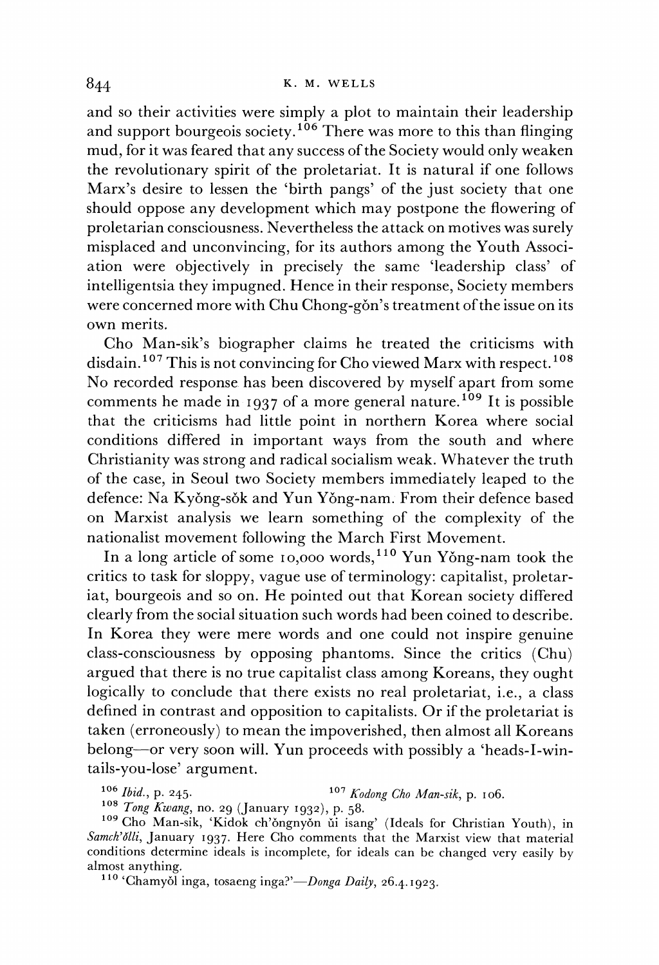**and so their activities were simply a plot to maintain their leadership and support bourgeois society.106 There was more to this than flinging mud, for it was feared that any success of the Society would only weaken the revolutionary spirit of the proletariat. It is natural if one follows Marx's desire to lessen the 'birth pangs' of the just society that one should oppose any development which may postpone the flowering of proletarian consciousness. Nevertheless the attack on motives was surely misplaced and unconvincing, for its authors among the Youth Association were objectively in precisely the same 'leadership class' of intelligentsia they impugned. Hence in their response, Society members**  were concerned more with Chu Chong-gǒn's treatment of the issue on its **own merits.** 

**Cho Man-sik's biographer claims he treated the criticisms with disdain.107 This is not convincing for Cho viewed Marx with respect. <sup>108</sup> No recorded response has been discovered by myself apart from some comments he made in I937 of a more general nature.109 It is possible that the criticisms had little point in northern Korea where social conditions differed in important ways from the south and where Christianity was strong and radical socialism weak. Whatever the truth of the case, in Seoul two Society members immediately leaped to the defence: Na Kyong-sok and Yun Yong-nam. From their defence based on Marxist analysis we learn something of the complexity of the nationalist movement following the March First Movement.** 

In a long article of some 10,000 words,<sup>110</sup> Yun Yong-nam took the **critics to task for sloppy, vague use of terminology: capitalist, proletariat, bourgeois and so on. He pointed out that Korean society differed clearly from the social situation such words had been coined to describe. In Korea they were mere words and one could not inspire genuine class-consciousness by opposing phantoms. Since the critics (Chu) argued that there is no true capitalist class among Koreans, they ought logically to conclude that there exists no real proletariat, i.e., a class defined in contrast and opposition to capitalists. Or if the proletariat is taken (erroneously) to mean the impoverished, then almost all Koreans belong-or very soon will. Yun proceeds with possibly a 'heads-I-wintails-you-lose' argument.** 

<sup>106</sup> Ibid., p. 245.<br><sup>108</sup> Tong Kwang, no. 29 (January 1932), p. 58.<br><sup>109</sup> Cho Man-sik, 'Kidok ch'ǒngnyǒn ǔi isang' (Ideals for Christian Youth), in Samch'olli, January 1937. Here Cho comments that the Marxist view that material **conditions determine ideals is incomplete, for ideals can be changed very easily by almost anything.** 

**110 'Chamy6l inga, tosaeng inga?'-Donga Daily, 26.4.1923.**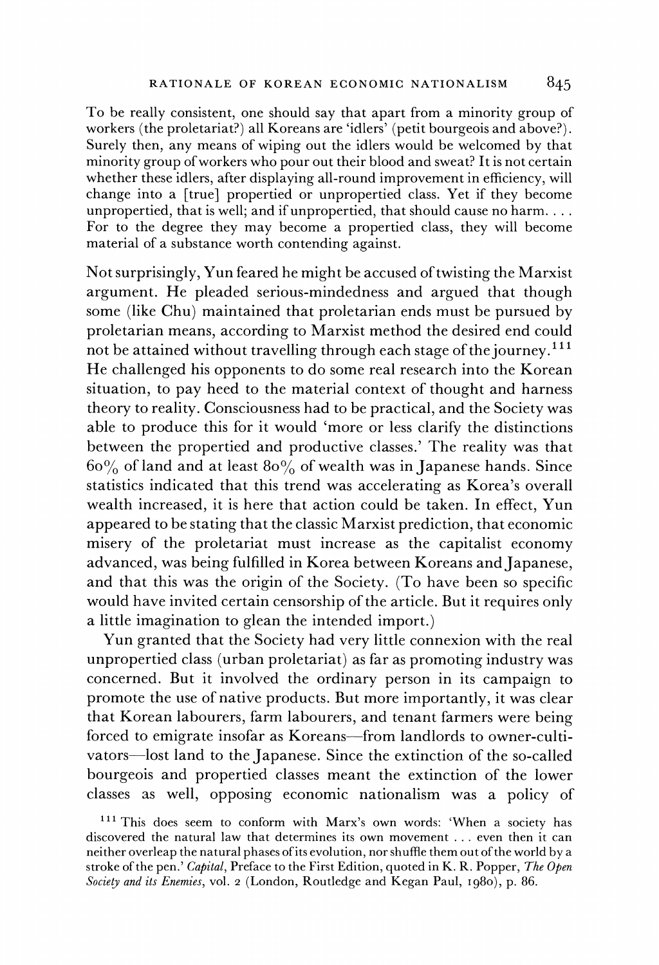**To be really consistent, one should say that apart from a minority group of workers (the proletariat?) all Koreans are 'idlers' (petit bourgeois and above?). Surely then, any means of wiping out the idlers would be welcomed by that minority group of workers who pour out their blood and sweat? It is not certain whether these idlers, after displaying all-round improvement in efficiency, will change into a [true] propertied or unpropertied class. Yet if they become unpropertied, that is well; and if unpropertied, that should cause no harm.... For to the degree they may become a propertied class, they will become material of a substance worth contending against.** 

**Not surprisingly, Yun feared he might be accused of twisting the Marxist argument. He pleaded serious-mindedness and argued that though some (like Chu) maintained that proletarian ends must be pursued by proletarian means, according to Marxist method the desired end could not be attained without travelling through each stage of thejourney. <sup>1</sup> He challenged his opponents to do some real research into the Korean situation, to pay heed to the material context of thought and harness theory to reality. Consciousness had to be practical, and the Society was able to produce this for it would 'more or less clarify the distinctions between the propertied and productive classes.' The reality was that 60% of land and at least 80% of wealth was in Japanese hands. Since statistics indicated that this trend was accelerating as Korea's overall wealth increased, it is here that action could be taken. In effect, Yun appeared to be stating that the classic Marxist prediction, that economic misery of the proletariat must increase as the capitalist economy advanced, was being fulfilled in Korea between Koreans and Japanese, and that this was the origin of the Society. (To have been so specific would have invited certain censorship of the article. But it requires only a little imagination to glean the intended import.)** 

**Yun granted that the Society had very little connexion with the real unpropertied class (urban proletariat) as far as promoting industry was concerned. But it involved the ordinary person in its campaign to promote the use of native products. But more importantly, it was clear that Korean labourers, farm labourers, and tenant farmers were being forced to emigrate insofar as Koreans-from landlords to owner-cultivators-lost land to the Japanese. Since the extinction of the so-called bourgeois and propertied classes meant the extinction of the lower classes as well, opposing economic nationalism was a policy of** 

<sup>111</sup> This does seem to conform with Marx's own words: 'When a society has **discovered the natural law that determines its own movement ... even then it can neither overleap the natural phases of its evolution, nor shuffle them out of the world by a stroke of the pen.' Capital, Preface to the First Edition, quoted in K. R. Popper, The Open Society and its Enemies, vol. 2 (London, Routledge and Kegan Paul, I980), p. 86.**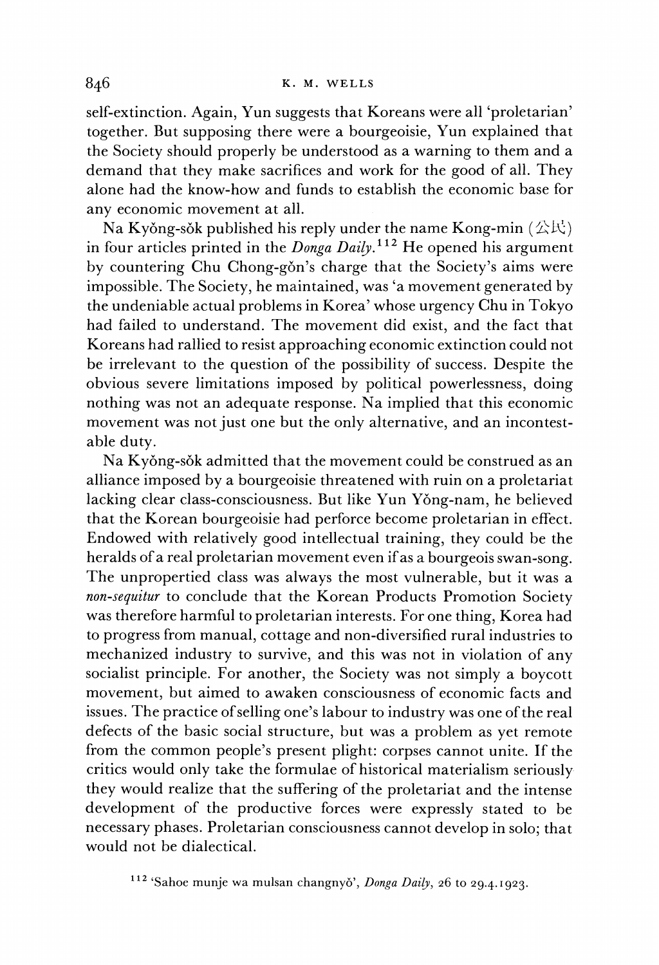**self-extinction. Again, Yun suggests that Koreans were all 'proletarian' together. But supposing there were a bourgeoisie, Yun explained that the Society should properly be understood as a warning to them and a demand that they make sacrifices and work for the good of all. They alone had the know-how and funds to establish the economic base for any economic movement at all.** 

Na Kyǒng-sǒk published his reply under the name Kong-min  $(\triangle \mathbb{R}^!)$ **in four articles printed in the Donga Daily.12 He opened his argument**  by countering Chu Chong-gon's charge that the Society's aims were **impossible. The Society, he maintained, was 'a movement generated by the undeniable actual problems in Korea' whose urgency Chu in Tokyo had failed to understand. The movement did exist, and the fact that Koreans had rallied to resist approaching economic extinction could not be irrelevant to the question of the possibility of success. Despite the obvious severe limitations imposed by political powerlessness, doing nothing was not an adequate response. Na implied that this economic movement was not just one but the only alternative, and an incontestable duty.** 

Na Kyǒng-sǒk admitted that the movement could be construed as an **alliance imposed by a bourgeoisie threatened with ruin on a proletariat lacking clear class-consciousness. But like Yun Yong-nam, he believed that the Korean bourgeoisie had perforce become proletarian in effect. Endowed with relatively good intellectual training, they could be the heralds of a real proletarian movement even if as a bourgeois swan-song. The unpropertied class was always the most vulnerable, but it was a non-sequitur to conclude that the Korean Products Promotion Society was therefore harmful to proletarian interests. For one thing, Korea had to progress from manual, cottage and non-diversified rural industries to mechanized industry to survive, and this was not in violation of any socialist principle. For another, the Society was not simply a boycott movement, but aimed to awaken consciousness of economic facts and issues. The practice of selling one's labour to industry was one of the real defects of the basic social structure, but was a problem as yet remote from the common people's present plight: corpses cannot unite. If the critics would only take the formulae of historical materialism seriously they would realize that the suffering of the proletariat and the intense development of the productive forces were expressly stated to be necessary phases. Proletarian consciousness cannot develop in solo; that would not be dialectical.** 

**<sup>112</sup>'Sahoe munje wa mulsan changny6', Donga Daily, 26 to 29.4.1923.**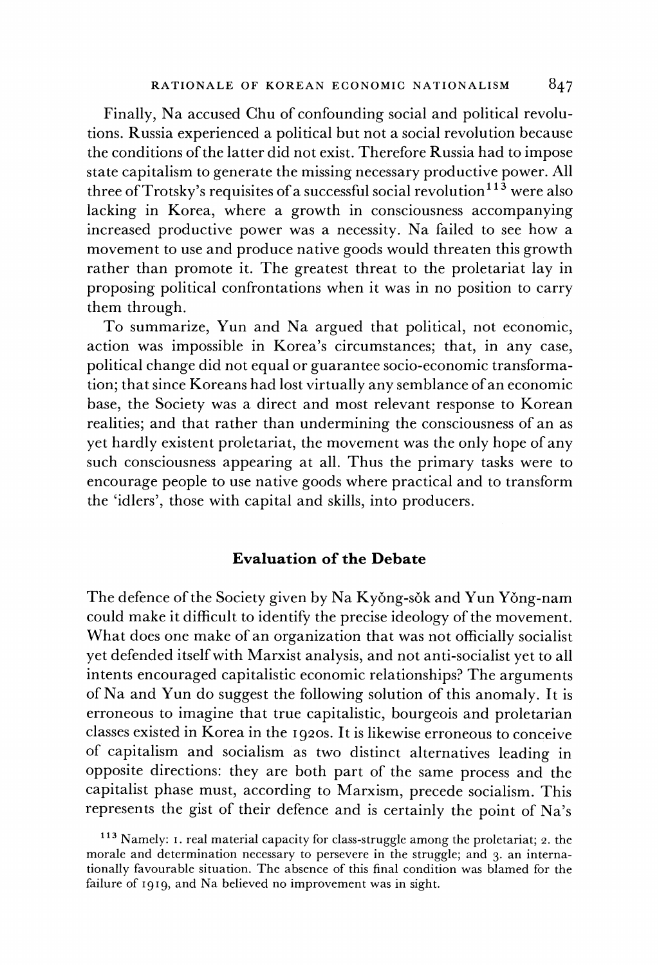**Finally, Na accused Chu of confounding social and political revolutions. Russia experienced a political but not a social revolution because the conditions of the latter did not exist. Therefore Russia had to impose state capitalism to generate the missing necessary productive power. All**  three of Trotsky's requisites of a successful social revolution<sup>113</sup> were also **lacking in Korea, where a growth in consciousness accompanying increased productive power was a necessity. Na failed to see how a movement to use and produce native goods would threaten this growth rather than promote it. The greatest threat to the proletariat lay in proposing political confrontations when it was in no position to carry them through.** 

**To summarize, Yun and Na argued that political, not economic, action was impossible in Korea's circumstances; that, in any case, political change did not equal or guarantee socio-economic transformation; that since Koreans had lost virtually any semblance of an economic base, the Society was a direct and most relevant response to Korean realities; and that rather than undermining the consciousness of an as yet hardly existent proletariat, the movement was the only hope of any such consciousness appearing at all. Thus the primary tasks were to encourage people to use native goods where practical and to transform the 'idlers', those with capital and skills, into producers.** 

#### **Evaluation of the Debate**

The defence of the Society given by Na Kyǒng-sǒk and Yun Yǒng-nam **could make it difficult to identify the precise ideology of the movement. What does one make of an organization that was not officially socialist yet defended itself with Marxist analysis, and not anti-socialist yet to all intents encouraged capitalistic economic relationships? The arguments of Na and Yun do suggest the following solution of this anomaly. It is erroneous to imagine that true capitalistic, bourgeois and proletarian classes existed in Korea in the 1920s. It is likewise erroneous to conceive of capitalism and socialism as two distinct alternatives leading in opposite directions: they are both part of the same process and the capitalist phase must, according to Marxism, precede socialism. This represents the gist of their defence and is certainly the point of Na's** 

**<sup>113</sup>Namely: I. real material capacity for class-struggle among the proletariat; 2. the morale and determination necessary to persevere in the struggle; and 3. an internationally favourable situation. The absence of this final condition was blamed for the failure of I919, and Na believed no improvement was in sight.**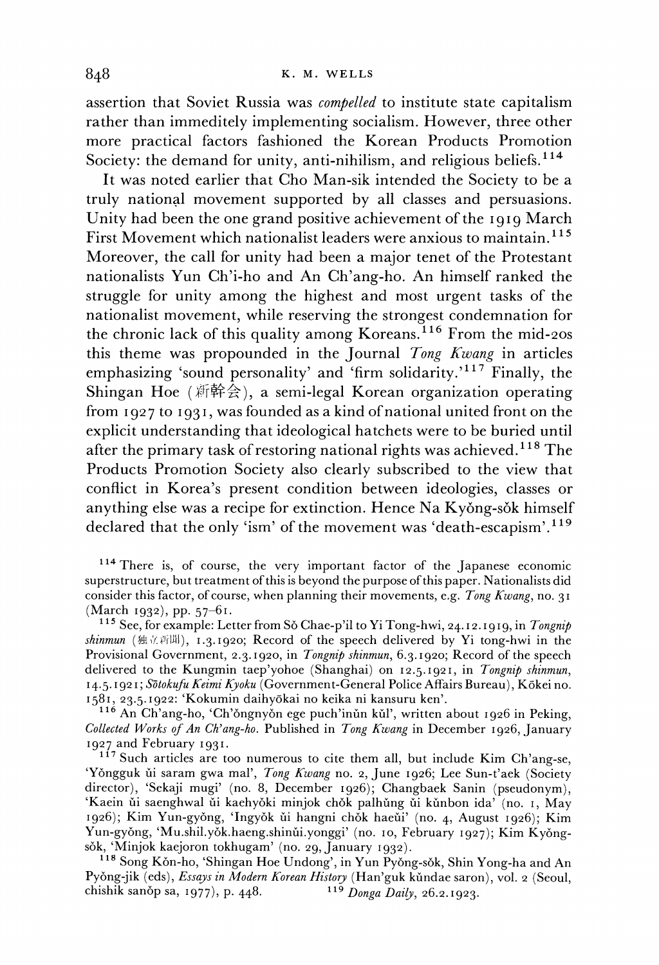**assertion that Soviet Russia was compelled to institute state capitalism rather than immeditely implementing socialism. However, three other more practical factors fashioned the Korean Products Promotion**  Society: the demand for unity, anti-nihilism, and religious beliefs.<sup>114</sup>

**It was noted earlier that Cho Man-sik intended the Society to be a truly national movement supported by all classes and persuasions.**  Unity had been the one grand positive achievement of the 1919 March **First Movement which nationalist leaders were anxious to maintain. <sup>115</sup> Moreover, the call for unity had been a major tenet of the Protestant nationalists Yun Ch'i-ho and An Ch'ang-ho. An himself ranked the struggle for unity among the highest and most urgent tasks of the nationalist movement, while reserving the strongest condemnation for the chronic lack of this quality among Koreans.1l6 From the mid-2os this theme was propounded in the Journal Tong Kwang in articles emphasizing 'sound personality' and 'firm solidarity.'ll7 Finally, the Shingan Hoe (}r'^), a semi-legal Korean organization operating from 1927 to 193I, was founded as a kind of national united front on the explicit understanding that ideological hatchets were to be buried until after the primary task of restoring national rights was achieved.118 The Products Promotion Society also clearly subscribed to the view that conflict in Korea's present condition between ideologies, classes or anything else was a recipe for extinction. Hence Na Ky6ng-s6k himself declared that the only 'ism' of the movement was 'death-escapism'.119** 

**<sup>114</sup>There is, of course, the very important factor of the Japanese economic superstructure, but treatment of this is beyond the purpose of this paper. Nationalists did consider this factor, of course, when planning their movements, e.g. Tong Kwang, no. 31 (March I932), pp. 57-61.** 

**115 See, for example: Letter from S6 Chae-p'il to Yi Tong-hwi, 24.12.1919, in Tongnip**  shinmun (独立新聞), 1.3.1920; Record of the speech delivered by Yi tong-hwi in the **Provisional Government, 2.3.I920, in Tongnip shinmun, 6.3.1920; Record of the speech delivered to the Kungmin taep'yohoe (Shanghai) on I2.5.I921, in Tongnip shinmun, I4.5. I92 I; Sotokufu Keimi Kyoku (Government-General Police Affairs Bureau), K6kei no. I58I, 23.5.I922: 'Kokumin daihyokai no keika ni kansuru ken'.** 

**<sup>116</sup>An Ch'ang-ho, 'Ch'ongny6n ege puch'inun kul', written about I926 in Peking, Collected Works of An Ch'ang-ho. Published in Tong Kwang in December 1926, January <sup>1927</sup>and February 1931.** 

**<sup>117</sup>Such articles are too numerous to cite them all, but include Kim Ch'ang-se, 'Y6ngguk iii saram gwa mal', Tong Kwang no. 2, June 1926; Lee Sun-t'aek (Society director), 'Sekaji mugi' (no. 8, December 1926); Changbaek Sanin (pseudonym), 'Kaein ii saenghwal ii kaehy6ki minjok ch6k palhung uii kuinbon ida' (no. i, May**  1926); Kim Yun-gyǒng, 'Ingyǒk ǔi hangni chǒk haeǔi' (no. 4, August 1926); Kim Yun-gyǒng, 'Mu.shil.yǒk.haeng.shinǔi.yonggi' (no. 10, February 1927); Kim Kyǒng**s6k, 'Minjok kaejoron tokhugam' (no. 29, January 1932).** 

**<sup>118</sup>Song K6n-ho, 'Shingan Hoe Undong', in Yun Py6ng-s6k, Shin Yong-ha and An**  Pyŏng-jik (eds), *Essays in Modern Korean History* (Han'guk kŭndae saron), vol. 2 (Seoul, chishik sanŏp sa, 1977), p. 448. <sup>119</sup> Donga Daily, 26.2.1923. **chishik san6p sa, 1977), p. 448. 119 Donga Daily, 26.2.1923.**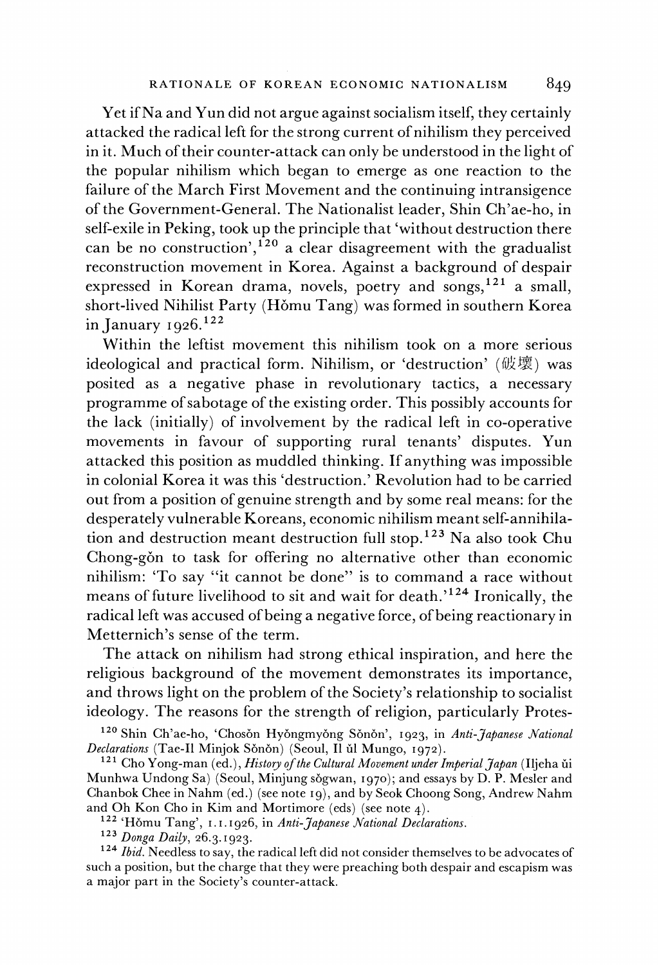**Yet ifNa and Yun did not argue against socialism itself, they certainly attacked the radical left for the strong current of nihilism they perceived in it. Much of their counter-attack can only be understood in the light of the popular nihilism which began to emerge as one reaction to the failure of the March First Movement and the continuing intransigence of the Government-General. The Nationalist leader, Shin Ch'ae-ho, in self-exile in Peking, took up the principle that 'without destruction there**  can be no construction',<sup>120</sup> a clear disagreement with the gradualist **reconstruction movement in Korea. Against a background of despair expressed in Korean drama, novels, poetry and songs,121 a small, short-lived Nihilist Party (H6mu Tang) was formed in southern Korea in January 1926.122** 

**Within the leftist movement this nihilism took on a more serious**  ideological and practical form. Nihilism, or 'destruction' (破壞) was **posited as a negative phase in revolutionary tactics, a necessary programme of sabotage of the existing order. This possibly accounts for the lack (initially) of involvement by the radical left in co-operative movements in favour of supporting rural tenants' disputes. Yun attacked this position as muddled thinking. If anything was impossible in colonial Korea it was this 'destruction.' Revolution had to be carried out from a position of genuine strength and by some real means: for the desperately vulnerable Koreans, economic nihilism meant self-annihilation and destruction meant destruction full stop.123 Na also took Chu**  Chong-gŏn to task for offering no alternative other than economic **nihilism: 'To say "it cannot be done" is to command a race without means of future livelihood to sit and wait for death.'124 Ironically, the radical left was accused of being a negative force, of being reactionary in Metternich's sense of the term.** 

**The attack on nihilism had strong ethical inspiration, and here the religious background of the movement demonstrates its importance, and throws light on the problem of the Society's relationship to socialist ideology. The reasons for the strength of religion, particularly Protes-**

**<sup>120</sup>Shin Ch'ae-ho, 'Chos6n Hy6ngmy6ng Son6n', I923, in Anti-Japanese National Declarations (Tae-I1 Minjok S6n6n) (Seoul, I1 uil Mungo, 1972).** 

<sup>121</sup> Cho Yong-man (ed.), *History of the Cultural Movement under Imperial Japan* (Iljeha ui **Munhwa Undong Sa) (Seoul, Minjung sogwan, I970); and essays by D. P. Mesler and Chanbok Chee in Nahm (ed.) (see note I9), and by Seok Choong Song, Andrew Nahm and Oh Kon Cho in Kim and Mortimore (eds) (see note 4).** 

**<sup>122</sup>'H6mu Tang', 1.1.1926, in Anti-Japanese National Declarations.** 

**<sup>123</sup>Donga Daily, 26.3.1923.** 

**<sup>124</sup>Ibid. Needless to say, the radical left did not consider themselves to be advocates of such a position, but the charge that they were preaching both despair and escapism was a major part in the Society's counter-attack.**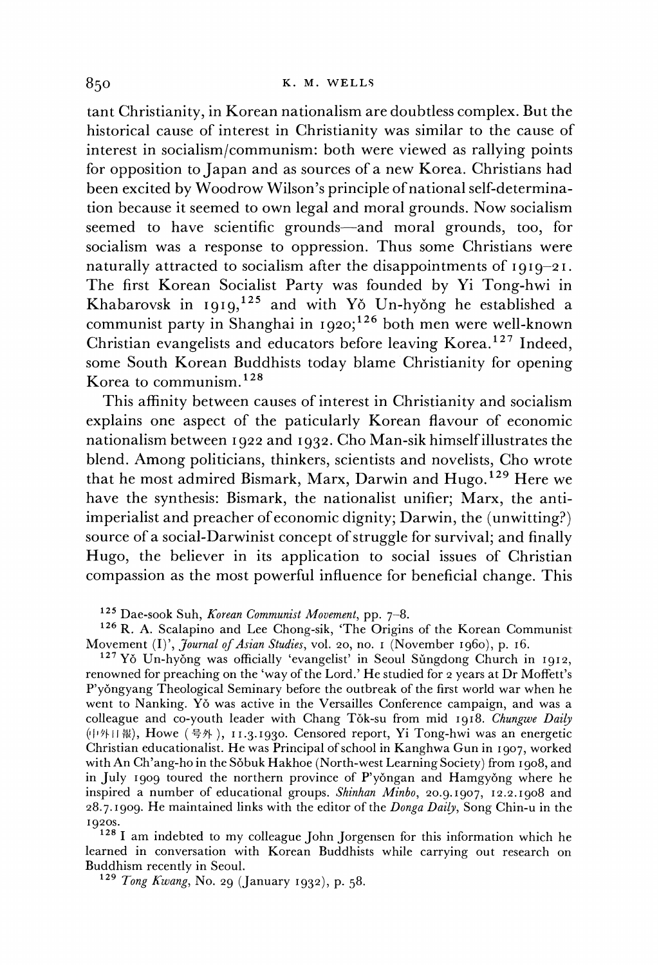**tant Christianity, in Korean nationalism are doubtless complex. But the historical cause of interest in Christianity was similar to the cause of interest in socialism/communism: both were viewed as rallying points for opposition to Japan and as sources of a new Korea. Christians had been excited by Woodrow Wilson's principle of national self-determination because it seemed to own legal and moral grounds. Now socialism seemed to have scientific grounds-and moral grounds, too, for socialism was a response to oppression. Thus some Christians were naturally attracted to socialism after the disappointments of 1919-21. The first Korean Socialist Party was founded by Yi Tong-hwi in**  Khabarovsk in 1919,<sup>125</sup> and with Yo Un-hyong he established a **communist party in Shanghai in 1920;126 both men were well-known Christian evangelists and educators before leaving Korea.127 Indeed, some South Korean Buddhists today blame Christianity for opening Korea to communism.128** 

**This affinity between causes of interest in Christianity and socialism explains one aspect of the paticularly Korean flavour of economic nationalism between 1922 and 1932. Cho Man-sik himself illustrates the blend. Among politicians, thinkers, scientists and novelists, Cho wrote that he most admired Bismark, Marx, Darwin and Hugo.129 Here we have the synthesis: Bismark, the nationalist unifier; Marx, the antiimperialist and preacher of economic dignity; Darwin, the (unwitting?) source of a social-Darwinist concept of struggle for survival; and finally Hugo, the believer in its application to social issues of Christian compassion as the most powerful influence for beneficial change. This** 

**<sup>127</sup>Y6 Un-hyong was officially 'evangelist' in Seoul Sungdong Church in 1912, renowned for preaching on the 'way of the Lord.' He studied for 2 years at Dr Moffett's P'yongyang Theological Seminary before the outbreak of the first world war when he**  went to Nanking. Yo was active in the Versailles Conference campaign, and was a **colleague and co-youth leader with Chang T6k-su from mid I918. Chungwe Daily ('l- i i i), Howe ( -~ ), II.3.1930. Censored report, Yi Tong-hwi was an energetic Christian educationalist. He was Principal of school in Kanghwa Gun in 1907, worked with An Ch'ang-ho in the S6buk Hakhoe (North-west Learning Society) from 1908, and in July I909 toured the northern province of P'yongan and Hamgyong where he inspired a number of educational groups. Shinhan Minbo, 20.9.1907, 12.2.I908 and 28.7. I909. He maintained links with the editor of the Donga Daily, Song Chin-u in the I920S.** 

**<sup>128</sup>I am indebted to my colleague John Jorgensen for this information which he learned in conversation with Korean Buddhists while carrying out research on Buddhism recently in Seoul.** 

**129 Tong Kwang, No. 29 (January I932), p. 58.** 

**<sup>125</sup>Dae-sook Suh, Korean Communist Movement, pp. 7-8.** 

**<sup>126</sup>R. A. Scalapino and Lee Chong-sik, 'The Origins of the Korean Communist Movement (I)', Journal of Asian Studies, vol. 20, no. I (November I960), p. i6.**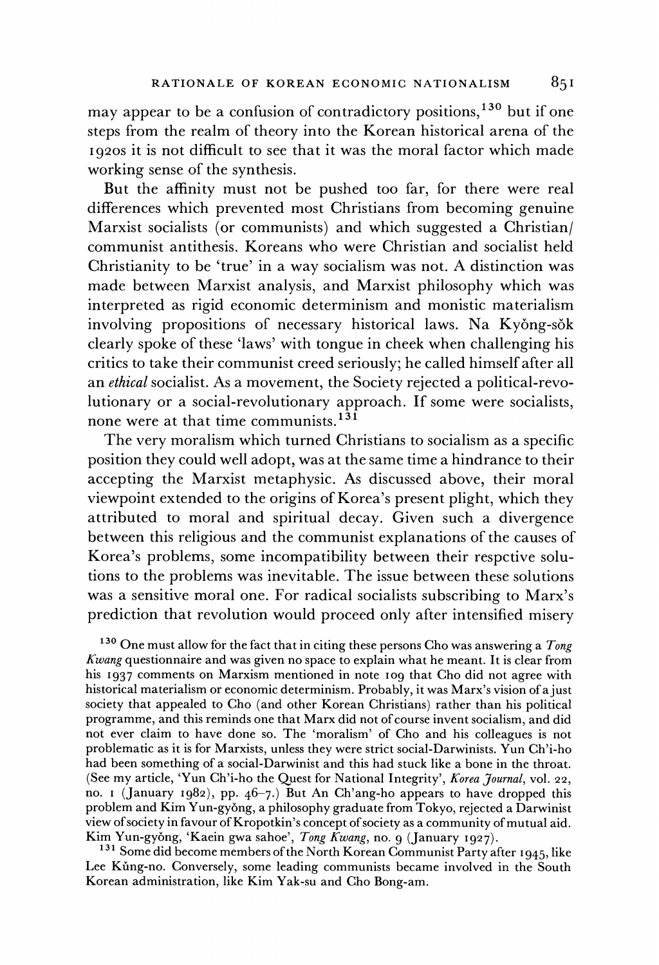**may appear to be a confusion of contradictory positions,13? but if one steps from the realm of theory into the Korean historical arena of the I920S it is not difficult to see that it was the moral factor which made working sense of the synthesis.** 

**But the affinity must not be pushed too far, for there were real differences which prevented most Christians from becoming genuine Marxist socialists (or communists) and which suggested a Christian/ communist antithesis. Koreans who were Christian and socialist held Christianity to be 'true' in a way socialism was not. A distinction was made between Marxist analysis, and Marxist philosophy which was interpreted as rigid economic determinism and monistic materialism**  involving propositions of necessary historical laws. Na Kyong-sok **clearly spoke of these 'laws' with tongue in cheek when challenging his critics to take their communist creed seriously; he called himself after all an ethical socialist. As a movement, the Society rejected a political-revolutionary or a social-revolutionary approach. If some were socialists, none were at that time communists.131** 

**The very moralism which turned Christians to socialism as a specific position they could well adopt, was at the same time a hindrance to their accepting the Marxist metaphysic. As discussed above, their moral viewpoint extended to the origins of Korea's present plight, which they attributed to moral and spiritual decay. Given such a divergence between this religious and the communist explanations of the causes of Korea's problems, some incompatibility between their respctive solutions to the problems was inevitable. The issue between these solutions was a sensitive moral one. For radical socialists subscribing to Marx's prediction that revolution would proceed only after intensified misery** 

**<sup>130</sup>One must allow for the fact that in citing these persons Cho was answering a Tong Kwang questionnaire and was given no space to explain what he meant. It is clear from**  his 1937 comments on Marxism mentioned in note 109 that Cho did not agree with **historical materialism or economic determinism. Probably, it was Marx's vision of ajust society that appealed to Cho (and other Korean Christians) rather than his political programme, and this reminds one that Marx did not of course invent socialism, and did not ever claim to have done so. The 'moralism' of Cho and his colleagues is not problematic as it is for Marxists, unless they were strict social-Darwinists. Yun Ch'i-ho had been something of a social-Darwinist and this had stuck like a bone in the throat. (See my article, 'Yun Ch'i-ho the Quest for National Integrity', Korea Journal, vol. 22, no. I (January 1982), pp. 46-7.) But An Ch'ang-ho appears to have dropped this problem and Kim Yun-gy6ng, a philosophy graduate from Tokyo, rejected a Darwinist view of society in favour of Kropotkin's concept of society as a community of mutual aid.**  Kim Yun-gyǒng, 'Kaein gwa sahoe', Tong Kwang, no. 9 (January 1927).

<sup>131</sup> Some did become members of the North Korean Communist Party after 1945, like Lee Kung-no. Conversely, some leading communists became involved in the South **Korean administration, like Kim Yak-su and Cho Bong-am.**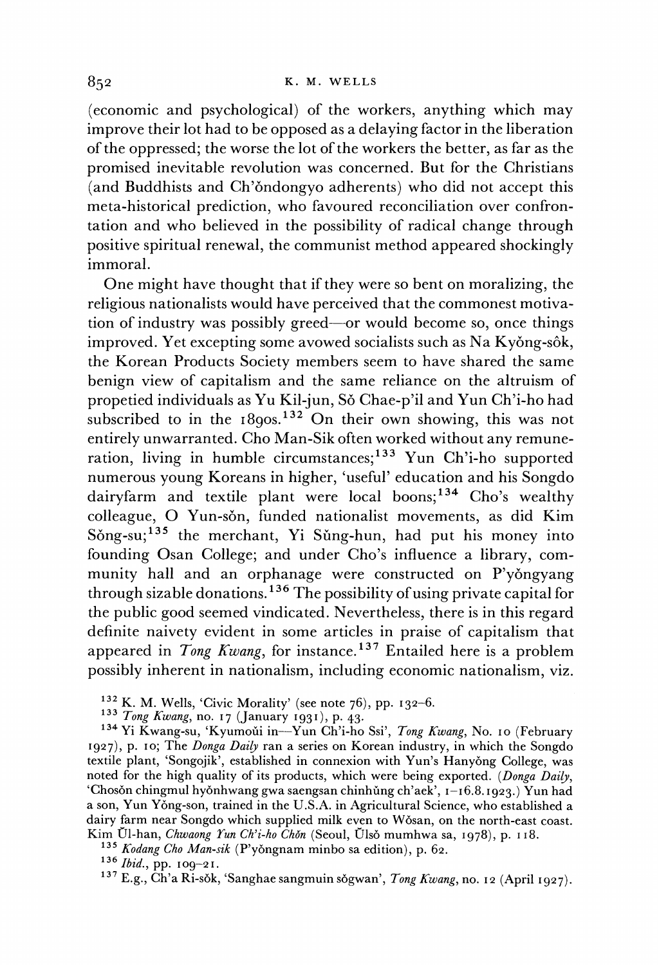**(economic and psychological) of the workers, anything which may improve their lot had to be opposed as a delaying factor in the liberation of the oppressed; the worse the lot of the workers the better, as far as the promised inevitable revolution was concerned. But for the Christians (and Buddhists and Ch'6ndongyo adherents) who did not accept this meta-historical prediction, who favoured reconciliation over confrontation and who believed in the possibility of radical change through positive spiritual renewal, the communist method appeared shockingly immoral.** 

**One might have thought that if they were so bent on moralizing, the religious nationalists would have perceived that the commonest motivation of industry was possibly greed-or would become so, once things improved. Yet excepting some avowed socialists such as Na Kyong-s6k, the Korean Products Society members seem to have shared the same benign view of capitalism and the same reliance on the altruism of propetied individuals as Yu Kil-jun, So Chae-p'il and Yun Ch'i-ho had**  subscribed to in the 1890s.<sup>132</sup> On their own showing, this was not **entirely unwarranted. Cho Man-Sik often worked without any remuneration, living in humble circumstances;133 Yun Ch'i-ho supported numerous young Koreans in higher, 'useful' education and his Songdo dairyfarm and textile plant were local boons;134 Cho's wealthy colleague, O Yun-s6n, funded nationalist movements, as did Kim**  Song-su;<sup>135</sup> the merchant, Yi Sǔng-hun, had put his money into **founding Osan College; and under Cho's influence a library, community hall and an orphanage were constructed on P'y6ngyang through sizable donations.136 The possibility of using private capital for the public good seemed vindicated. Nevertheless, there is in this regard definite naivety evident in some articles in praise of capitalism that appeared in Tong Kwang, for instance.137 Entailed here is a problem possibly inherent in nationalism, including economic nationalism, viz.** 

**<sup>132</sup>K. M. Wells, 'Civic Morality' (see note 76), pp. I32-6. 133 Tong Kwang, no. 17 (January 1931), p. 43.** 

134 Yi Kwang-su, 'Kyumoùi in-Yun Ch'i-ho Ssi', Tong Kwang, No. 10 (February **1927), p. IO; The Donga Daily ran a series on Korean industry, in which the Songdo textile plant, 'Songojik', established in connexion with Yun's Hany6ng College, was noted for the high quality of its products, which were being exported. (Donga Daily,**  'Chosŏn chingmul hyŏnhwang gwa saengsan chinhǔng ch'aek', 1-16.8. 1923.) Yun had **a son, Yun Yong-son, trained in the U.S.A. in Agricultural Science, who established a dairy farm near Songdo which supplied milk even to Wosan, on the north-east coast.**  Kim Ŭl-han, Chwaong Yun Ch'i-ho Chon (Seoul, Ŭlsŏ mumhwa sa, 1978), p. 118.

**<sup>135</sup>Kodang Cho Man-sik (P'y6ngnam minbo sa edition), p. 62.** 

**<sup>136</sup>Ibid., pp. 109-21.** 

**<sup>137</sup>E.g., Ch'a Ri-sok, 'Sanghae sangmuin sogwan', Tong Kwang, no. 12 (April 1927).**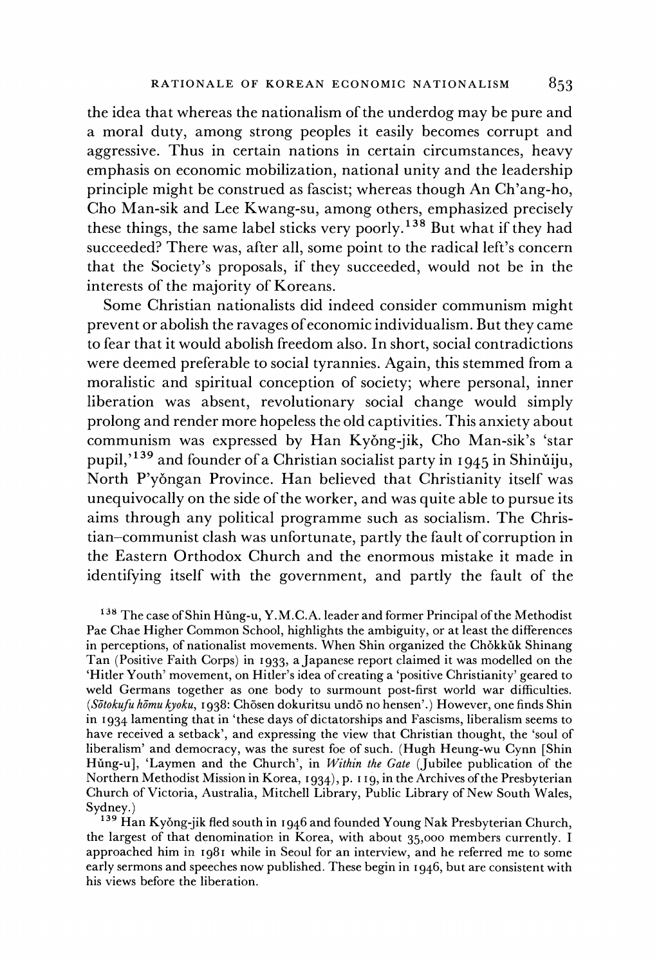**the idea that whereas the nationalism of the underdog may be pure and a moral duty, among strong peoples it easily becomes corrupt and aggressive. Thus in certain nations in certain circumstances, heavy emphasis on economic mobilization, national unity and the leadership principle might be construed as fascist; whereas though An Ch'ang-ho, Cho Man-sik and Lee Kwang-su, among others, emphasized precisely these things, the same label sticks very poorly.138 But what if they had succeeded? There was, after all, some point to the radical left's concern that the Society's proposals, if they succeeded, would not be in the interests of the majority of Koreans.** 

**Some Christian nationalists did indeed consider communism might prevent or abolish the ravages of economic individualism. But they came to fear that it would abolish freedom also. In short, social contradictions were deemed preferable to social tyrannies. Again, this stemmed from a moralistic and spiritual conception of society; where personal, inner liberation was absent, revolutionary social change would simply prolong and render more hopeless the old captivities. This anxiety about communism was expressed by Han Ky6ng-jik, Cho Man-sik's 'star pupil,'139 and founder of a Christian socialist party in 1945 in Shinuiiju, North P'y6ngan Province. Han believed that Christianity itself was unequivocally on the side of the worker, and was quite able to pursue its aims through any political programme such as socialism. The Christian-communist clash was unfortunate, partly the fault of corruption in the Eastern Orthodox Church and the enormous mistake it made in identifying itself with the government, and partly the fault of the** 

<sup>138</sup> The case of Shin Hǔng-u, Y.M.C.A. leader and former Principal of the Methodist **Pae Chae Higher Common School, highlights the ambiguity, or at least the differences**  in perceptions, of nationalist movements. When Shin organized the Chŏkkǔk Shinang **Tan (Positive Faith Corps) in I933, a Japanese report claimed it was modelled on the 'Hitler Youth' movement, on Hitler's idea of creating a 'positive Christianity' geared to weld Germans together as one body to surmount post-first world war difficulties. (Sotokufu homu kyoku, 1938: Chosen dokuritsu undo no hensen'.) However, one finds Shin in 1934 lamenting that in 'these days of dictatorships and Fascisms, liberalism seems to have received a setback', and expressing the view that Christian thought, the 'soul of liberalism' and democracy, was the surest foe of such. (Hugh Heung-wu Cynn [Shin**  Hung-u], 'Laymen and the Church', in Within the Gate (Jubilee publication of the **Northern Methodist Mission in Korea, 1934), p. I 9, in the Archives of the Presbyterian Church of Victoria, Australia, Mitchell Library, Public Library of New South Wales, Sydney.)** 

**<sup>139</sup>Han Ky6ng-jik fled south in 1946 and founded Young Nak Presbyterian Church, the largest of that denomination in Korea, with about 35,000 members currently. I approached him in 1981 while in Seoul for an interview, and he referred me to some early sermons and speeches now published. These begin in 1946, but are consistent with his views before the liberation.**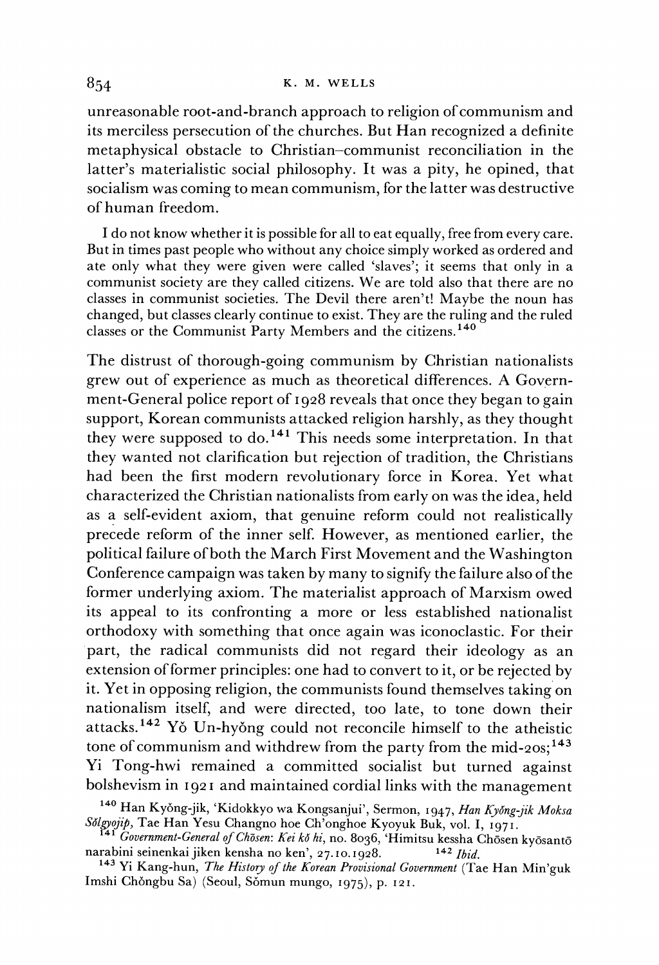**unreasonable root-and-branch approach to religion of communism and its merciless persecution of the churches. But Han recognized a definite metaphysical obstacle to Christian-communist reconciliation in the latter's materialistic social philosophy. It was a pity, he opined, that socialism was coming to mean communism, for the latter was destructive of human freedom.** 

**I do not know whether it is possible for all to eat equally, free from every care. But in times past people who without any choice simply worked as ordered and ate only what they were given were called 'slaves'; it seems that only in a communist society are they called citizens. We are told also that there are no classes in communist societies. The Devil there aren't! Maybe the noun has changed, but classes clearly continue to exist. They are the ruling and the ruled classes or the Communist Party Members and the citizens.140** 

**The distrust of thorough-going communism by Christian nationalists grew out of experience as much as theoretical differences. A Government-General police report of 1928 reveals that once they began to gain support, Korean communists attacked religion harshly, as they thought they were supposed to do.141 This needs some interpretation. In that they wanted not clarification but rejection of tradition, the Christians had been the first modern revolutionary force in Korea. Yet what characterized the Christian nationalists from early on was the idea, held as a self-evident axiom, that genuine reform could not realistically precede reform of the inner self. However, as mentioned earlier, the political failure of both the March First Movement and the Washington Conference campaign was taken by many to signify the failure also of the former underlying axiom. The materialist approach of Marxism owed its appeal to its confronting a more or less established nationalist orthodoxy with something that once again was iconoclastic. For their part, the radical communists did not regard their ideology as an extension of former principles: one had to convert to it, or be rejected by it. Yet in opposing religion, the communists found themselves taking on nationalism itself, and were directed, too late, to tone down their attacks.'42 Y6 Un-hy6ng could not reconcile himself to the atheistic tone of communism and withdrew from the party from the mid-2os;143 Yi Tong-hwi remained a committed socialist but turned against bolshevism in 1921 and maintained cordial links with the management** 

<sup>&</sup>lt;sup>140</sup> Han Kyǒng-jik, 'Kidokkyo wa Kongsanjui', Sermon, 1947, *Han Kyǒng-jik Moksa Sǒlgyojip*, Tae Han Yesu Changno hoe Ch'onghoe Kyoyuk Buk, vol. I, 1971.

**S6lgyonghoe Kyoyuk Buka, Tagasi Changno Bukh, no. 8036, 'Himitsu kessha Chosen kyosanto**<br>narabini seinenkai jiken kensha no ken', 27.10.1928. <sup>142</sup> Ibid.

<sup>&</sup>lt;sup>143</sup> Yi Kang-hun, *The History of the Korean Provisional Government* (Tae Han Min'guk **Imshi Chongbu Sa) (Seoul, Somun mungo, I975), p. 121.**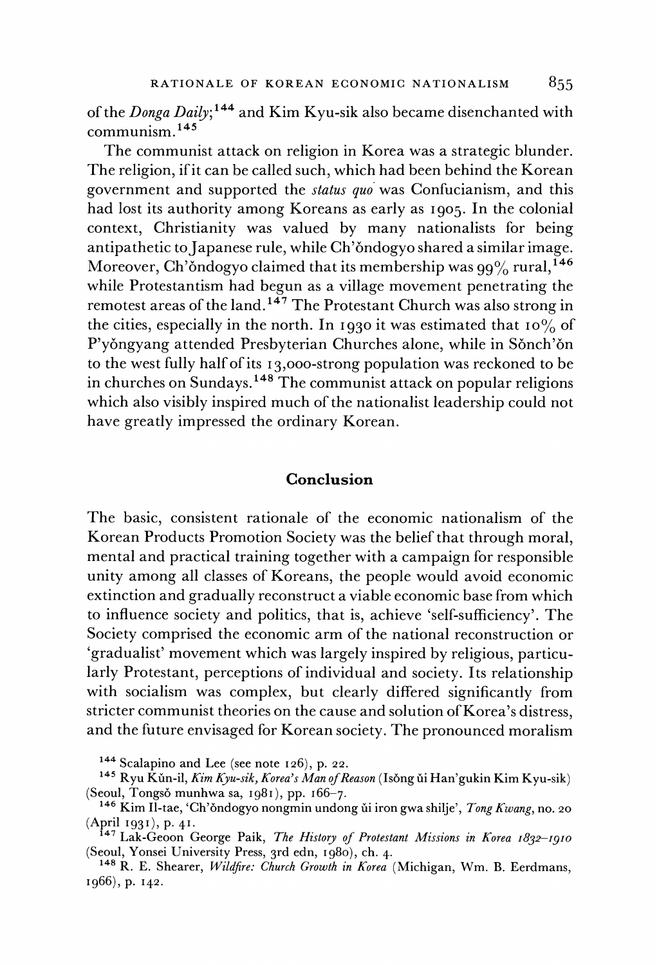**of the Donga Daily;144 and Kim Kyu-sik also became disenchanted with communism. 45** 

**The communist attack on religion in Korea was a strategic blunder. The religion, if it can be called such, which had been behind the Korean government and supported the status quo was Confucianism, and this had lost its authority among Koreans as early as I905. In the colonial context, Christianity was valued by many nationalists for being antipathetic to Japanese rule, while Ch'6ndogyo shared a similar image.**  Moreover, Ch'ondogyo claimed that its membership was 99% rural, <sup>146</sup> **while Protestantism had begun as a village movement penetrating the remotest areas of the land.147 The Protestant Church was also strong in**  the cities, especially in the north. In 1930 it was estimated that  $10\%$  of **P'yongyang attended Presbyterian Churches alone, while in S6nch'6n to the west fully half of its I3,ooo-strong population was reckoned to be in churches on Sundays.148 The communist attack on popular religions which also visibly inspired much of the nationalist leadership could not have greatly impressed the ordinary Korean.** 

#### **Conclusion**

**The basic, consistent rationale of the economic nationalism of the Korean Products Promotion Society was the belief that through moral, mental and practical training together with a campaign for responsible unity among all classes of Koreans, the people would avoid economic extinction and gradually reconstruct a viable economic base from which to influence society and politics, that is, achieve 'self-sufficiency'. The Society comprised the economic arm of the national reconstruction or 'gradualist' movement which was largely inspired by religious, particularly Protestant, perceptions of individual and society. Its relationship with socialism was complex, but clearly differed significantly from stricter communist theories on the cause and solution of Korea's distress, and the future envisaged for Korean society. The pronounced moralism** 

**<sup>144</sup>Scalapino and Lee (see note I26), p. 22.** 

<sup>&</sup>lt;sup>145</sup> Ryu Kǔn-il, Kim Kyu-sik, Korea's Man of Reason (Isong ǔi Han'gukin Kim Kyu-sik) **(Seoul, Tongso munhwa sa, I981), pp. 166-7.** 

<sup>&</sup>lt;sup>146</sup> Kim II-tae, 'Ch'ŏndogyo nongmin undong ŭi iron gwa shilje', Tong Kwang, no. 20 **(April 193I), p. 4I.** 

**<sup>147</sup>Lak-Geoon George Paik, The History of Protestant Missions in Korea i832-g9io (Seoul, Yonsei University Press, 3rd edn, I980), ch. 4.** 

**<sup>148</sup>R. E. Shearer, Wildfire: Church Growth in Korea (Michigan, Wm. B. Eerdmans, I966), p. 142.**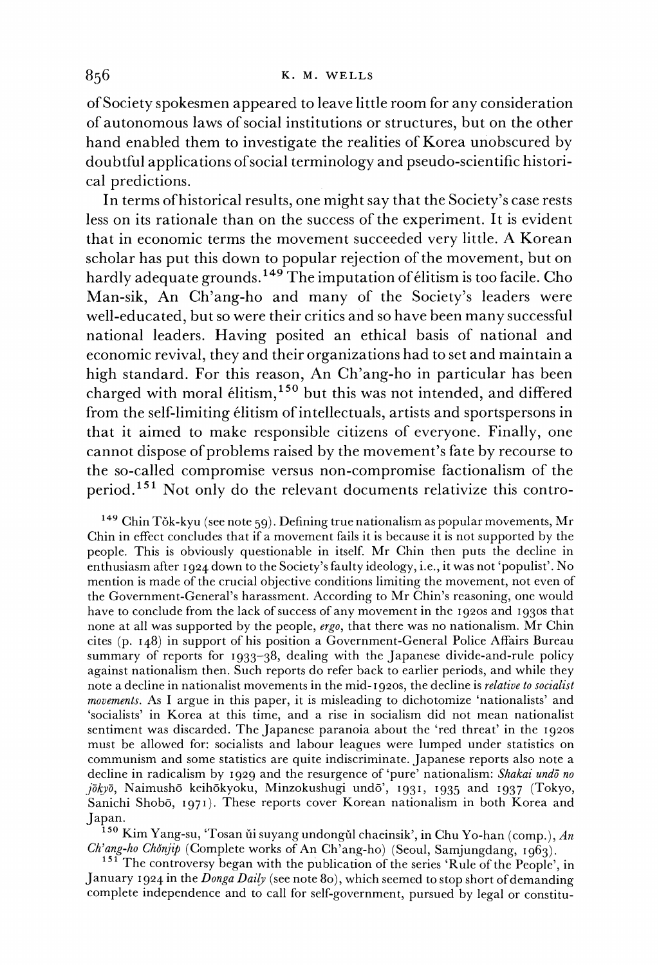**of Society spokesmen appeared to leave little room for any consideration of autonomous laws of social institutions or structures, but on the other hand enabled them to investigate the realities of Korea unobscured by doubtful applications of social terminology and pseudo-scientific historical predictions.** 

**In terms of historical results, one might say that the Society's case rests less on its rationale than on the success of the experiment. It is evident that in economic terms the movement succeeded very little. A Korean scholar has put this down to popular rejection of the movement, but on hardly adequate grounds.'49 The imputation of elitism is too facile. Cho Man-sik, An Ch'ang-ho and many of the Society's leaders were well-educated, but so were their critics and so have been many successful national leaders. Having posited an ethical basis of national and economic revival, they and their organizations had to set and maintain a high standard. For this reason, An Ch'ang-ho in particular has been charged with moral elitism,'50 but this was not intended, and differed from the self-limiting elitism of intellectuals, artists and sportspersons in that it aimed to make responsible citizens of everyone. Finally, one cannot dispose of problems raised by the movement's fate by recourse to the so-called compromise versus non-compromise factionalism of the**  period.<sup>151</sup> Not only do the relevant documents relativize this contro-

**<sup>149</sup>Chin T6k-kyu (see note 59). Defining true nationalism as popular movements, Mr Chin in effect concludes that if a movement fails it is because it is not supported by the people. This is obviously questionable in itself. Mr Chin then puts the decline in enthusiasm after 1924 down to the Society's faulty ideology, i.e., it was not 'populist'. No mention is made of the crucial objective conditions limiting the movement, not even of the Government-General's harassment. According to Mr Chin's reasoning, one would have to conclude from the lack of success of any movement in the I920os and I930s that none at all was supported by the people, ergo, that there was no nationalism. Mr Chin cites (p. I48) in support of his position a Government-General Police Affairs Bureau summary of reports for 1933-38, dealing with the Japanese divide-and-rule policy against nationalism then. Such reports do refer back to earlier periods, and while they note a decline in nationalist movements in the mid- 1920S, the decline is relative to socialist movements. As I argue in this paper, it is misleading to dichotomize 'nationalists' and 'socialists' in Korea at this time, and a rise in socialism did not mean nationalist sentiment was discarded. The Japanese paranoia about the 'red threat' in the 1920S must be allowed for: socialists and labour leagues were lumped under statistics on communism and some statistics are quite indiscriminate. Japanese reports also note a decline in radicalism by I929 and the resurgence of 'pure' nationalism: Shakai undo no jokyo, Naimusho keihokyoku, Minzokushugi und6', I93I, 1935 and 1937 (Tokyo, Sanichi Shob6, I971). These reports cover Korean nationalism in both Korea and Japan.** 

<sup>150</sup> Kim Yang-su, 'Tosan ŭi suyang undongŭl chaeinsik', in Chu Yo-han (comp.), An Ch'ang-ho Chŏnjip (Complete works of An Ch'ang-ho) (Seoul, Samjungdang, 1963).

<sup>151</sup> The controversy began with the publication of the series 'Rule of the People', in **January 1924 in the Donga Daily (see note 8o), which seemed to stop short of demanding complete independence and to call for self-government, pursued by legal or constitu-**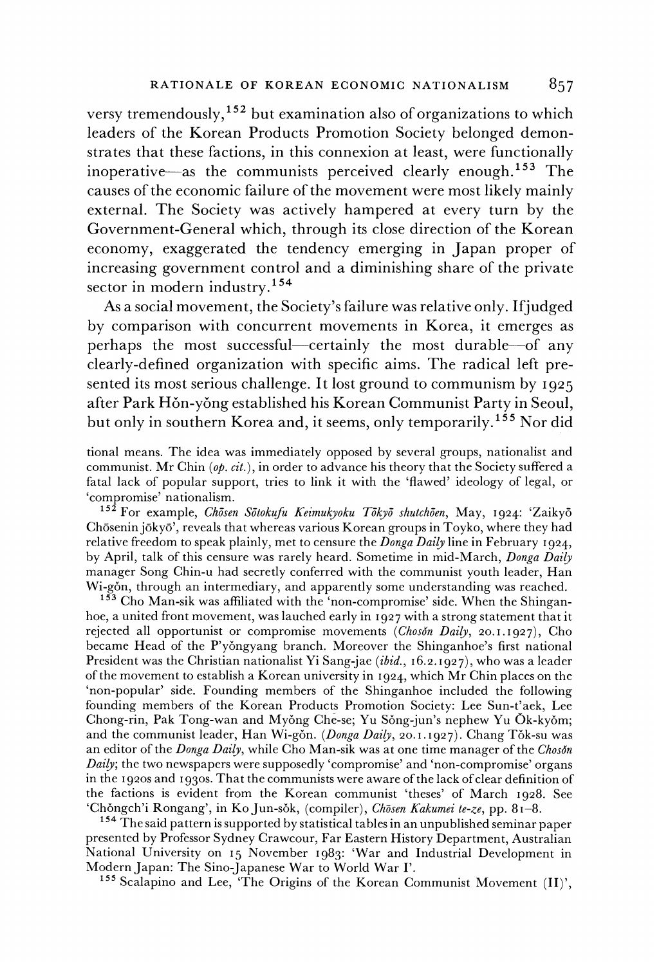**versy tremendously,152 but examination also of organizations to which leaders of the Korean Products Promotion Society belonged demonstrates that these factions, in this connexion at least, were functionally inoperative-as the communists perceived clearly enough.153 The causes of the economic failure of the movement were most likely mainly external. The Society was actively hampered at every turn by the Government-General which, through its close direction of the Korean economy, exaggerated the tendency emerging in Japan proper of increasing government control and a diminishing share of the private sector in modern industry.154** 

**As a social movement, the Society's failure was relative only. Ifjudged by comparison with concurrent movements in Korea, it emerges as perhaps the most successful-certainly the most durable-of any clearly-defined organization with specific aims. The radical left presented its most serious challenge. It lost ground to communism by I925 after Park Hon-yong established his Korean Communist Party in Seoul, but only in southern Korea and, it seems, only temporarily.'55 Nor did** 

**tional means. The idea was immediately opposed by several groups, nationalist and communist. Mr Chin (op. cit.), in order to advance his theory that the Society suffered a fatal lack of popular support, tries to link it with the 'flawed' ideology of legal, or 'compromise' nationalism.** 

<sup>152</sup> For example, Chosen Sotokufu Keimukyoku Tokyo shutchoen, May, 1924: 'Zaikyo **Ch6senin jokyo', reveals that whereas various Korean groups in Toyko, where they had relative freedom to speak plainly, met to censure the Donga Daily line in February 1924, by April, talk of this censure was rarely heard. Sometime in mid-March, Donga Daily manager Song Chin-u had secretly conferred with the communist youth leader, Han Wi-g6n, through an intermediary, and apparently some understanding was reached.** 

**<sup>153</sup>Cho Man-sik was affiliated with the 'non-compromise' side. When the Shinganhoe, a united front movement, was lauched early in 1927 with a strong statement that it**  rejected all opportunist or compromise movements (Chosón Daily, 20.1.1927), Cho **became Head of the P'yongyang branch. Moreover the Shinganhoe's first national President was the Christian nationalist Yi Sang-jae (ibid., I6.2. I927), who was a leader of the movement to establish a Korean university in 1924, which Mr Chin places on the 'non-popular' side. Founding members of the Shinganhoe included the following founding members of the Korean Products Promotion Society: Lee Sun-t'aek, Lee Chong-rin, Pak Tong-wan and My6ng Che-se; Yu S6ng-jun's nephew Yu Ok-kyom; and the communist leader, Han Wi-gon. (Donga Daily, 20.1.i927). Chang T6k-su was**  an editor of the *Donga Daily*, while Cho Man-sik was at one time manager of the *Choson* **Daily; the two newspapers were supposedly 'compromise' and 'non-compromise' organs in the 920os and I 930s. That the communists were aware of the lack of clear definition of the factions is evident from the Korean communist 'theses' of March I928. See**  'Chŏngch'i Rongang', in Ko Jun-sŏk, (compiler), Chōsen Kakumei te-ze, pp. 81-8.

**<sup>154</sup>The said pattern is supported by statistical tables in an unpublished seminar paper presented by Professor Sydney Crawcour, Far Eastern History Department, Australian National University on 15 November I983: 'War and Industrial Development in Modern Japan: The Sino-Japanese War to World War I'.** 

**<sup>155</sup>Scalapino and Lee, 'The Origins of the Korean Communist Movement (II)',**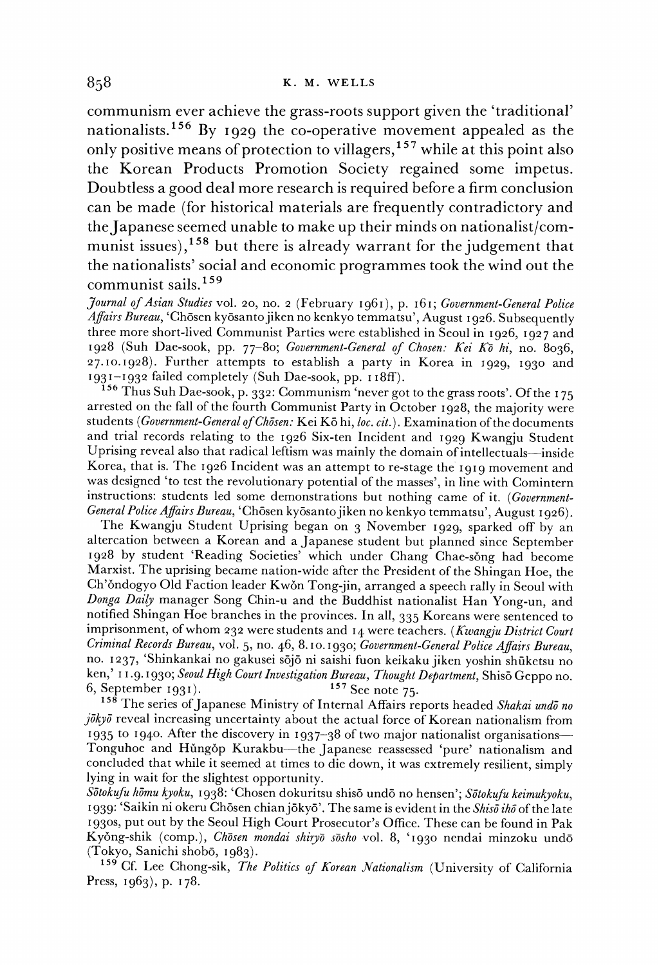**communism ever achieve the grass-roots support given the 'traditional' nationalists.'56 By 1929 the co-operative movement appealed as the only positive means of protection to villagers,157 while at this point also the Korean Products Promotion Society regained some impetus. Doubtless a good deal more research is required before a firm conclusion can be made (for historical materials are frequently contradictory and**  the Japanese seemed unable to make up their minds on nationalist/communist issues),<sup>158</sup> but there is already warrant for the judgement that **the nationalists' social and economic programmes took the wind out the communist sails.159** 

**Journal of Asian Studies vol. 20, no. 2 (February I96I), p. 161; Government-General Police Affairs Bureau, 'Chosen ky6santojiken no kenkyo temmatsu', August 1926. Subsequently three more short-lived Communist Parties were established in Seoul in 1926, 1927 and**  1928 (Suh Dae-sook, pp. 77-80; Government-General of Chosen: Kei Kō hi, no. 8036, **27.I0.I928). Further attempts to establish a party in Korea in I929, 1930 and 193 -1932 failed completely (Suh Dae-sook, pp. I 8ff).** 

**<sup>156</sup>Thus Suh Dae-sook, p. 332: Communism 'never got to the grass roots'. Of the I75 arrested on the fall of the fourth Communist Party in October 1928, the majority were**  students (Government-General of Chosen: Kei Ko hi, loc. cit.). Examination of the documents **and trial records relating to the I926 Six-ten Incident and I929 Kwangju Student Uprising reveal also that radical leftism was mainly the domain of intellectuals-inside Korea, that is. The 1926 Incident was an attempt to re-stage the I9I9 movement and was designed 'to test the revolutionary potential of the masses', in line with Comintern**  instructions: students led some demonstrations but nothing came of it. (*Government*-General Police Affairs Bureau, 'Chōsen kyōsanto jiken no kenkyo temmatsu', August 1926).

**The Kwangju Student Uprising began on 3 November 1929, sparked off by an altercation between a Korean and a Japanese student but planned since September 1928 by student 'Reading Societies' which under Chang Chae-song had become Marxist. The uprising became nation-wide after the President of the Shingan Hoe, the**  Ch'ondogyo Old Faction leader Kwon Tong-jin, arranged a speech rally in Seoul with **Donga Daily manager Song Chin-u and the Buddhist nationalist Han Yong-un, and notified Shingan Hoe branches in the provinces. In all, 335 Koreans were sentenced to imprisonment, of whom 232 were students and 14 were teachers. (Kwangju District Court Criminal Records Bureau, vol. 5, no. 46, 8. Io. I930; Government-General Police Afairs Bureau, no. 1237, 'Shinkankai no gakusei s6j6 ni saishi fuon keikaku jiken yoshin shuketsu no ken,' I 1.9. 1930; Seoul High Court Investigation Bureau, Thought Department, Shiso Geppo no. 6, September 1931). 157 See note 75.** 

<sup>158</sup> The series of Japanese Ministry of Internal Affairs reports headed Shakai undo no **jokyo reveal increasing uncertainty about the actual force of Korean nationalism from 1935 to 1940. After the discovery in I937-38 of two major nationalist organisations-**Tonguhoe and Hǔngǒp Kurakbu-the Japanese reassessed 'pure' nationalism and **concluded that while it seemed at times to die down, it was extremely resilient, simply lying in wait for the slightest opportunity.** 

Sōtokufu hōmu kyoku, 1938: 'Chosen dokuritsu shisō undō no hensen'; Sōtokufu keimukyoku, 1939: 'Saikin ni okeru Chōsen chian jōkyō'. The same is evident in the *Shisō ihō* of the late **1930s, put out by the Seoul High Court Prosecutor's Office. These can be found in Pak Ky6ng-shik (comp.), Chosen mondai shiryo sosho vol. 8, 'I930 nendai minzoku und6 (Tokyo, Sanichi shob6, 1983).** 

**<sup>159</sup>Cf. Lee Chong-sik, The Politics of Korean Nationalism (University of California Press, 1963), p. 178.**